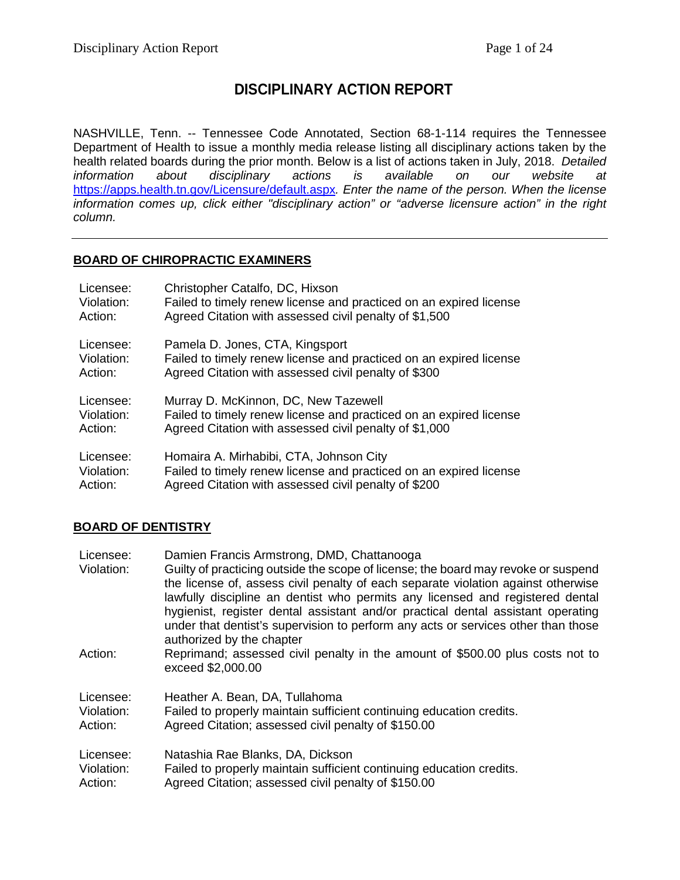# **DISCIPLINARY ACTION REPORT**

NASHVILLE, Tenn. -- Tennessee Code Annotated, Section 68-1-114 requires the Tennessee Department of Health to issue a monthly media release listing all disciplinary actions taken by the health related boards during the prior month. Below is a list of actions taken in July, 2018. *Detailed information about disciplinary actions is available on our website at* <https://apps.health.tn.gov/Licensure/default.aspx>*. Enter the name of the person. When the license information comes up, click either "disciplinary action" or "adverse licensure action" in the right column.*

# **BOARD OF CHIROPRACTIC EXAMINERS**

| Licensee:  | Christopher Catalfo, DC, Hixson                                    |
|------------|--------------------------------------------------------------------|
| Violation: | Failed to timely renew license and practiced on an expired license |
| Action:    | Agreed Citation with assessed civil penalty of \$1,500             |
| Licensee:  | Pamela D. Jones, CTA, Kingsport                                    |
| Violation: | Failed to timely renew license and practiced on an expired license |
| Action:    | Agreed Citation with assessed civil penalty of \$300               |
| Licensee:  | Murray D. McKinnon, DC, New Tazewell                               |
| Violation: | Failed to timely renew license and practiced on an expired license |
| Action:    | Agreed Citation with assessed civil penalty of \$1,000             |
| Licensee:  | Homaira A. Mirhabibi, CTA, Johnson City                            |
| Violation: | Failed to timely renew license and practiced on an expired license |
| Action:    | Agreed Citation with assessed civil penalty of \$200               |

# **BOARD OF DENTISTRY**

| Licensee:  | Damien Francis Armstrong, DMD, Chattanooga                                                                                                                                                                                                                                                                                                                                                                                                                     |
|------------|----------------------------------------------------------------------------------------------------------------------------------------------------------------------------------------------------------------------------------------------------------------------------------------------------------------------------------------------------------------------------------------------------------------------------------------------------------------|
| Violation: | Guilty of practicing outside the scope of license; the board may revoke or suspend<br>the license of, assess civil penalty of each separate violation against otherwise<br>lawfully discipline an dentist who permits any licensed and registered dental<br>hygienist, register dental assistant and/or practical dental assistant operating<br>under that dentist's supervision to perform any acts or services other than those<br>authorized by the chapter |
| Action:    | Reprimand; assessed civil penalty in the amount of \$500.00 plus costs not to<br>exceed \$2,000.00                                                                                                                                                                                                                                                                                                                                                             |
| Licensee:  | Heather A. Bean, DA, Tullahoma                                                                                                                                                                                                                                                                                                                                                                                                                                 |
| Violation: | Failed to properly maintain sufficient continuing education credits.                                                                                                                                                                                                                                                                                                                                                                                           |
| Action:    | Agreed Citation; assessed civil penalty of \$150.00                                                                                                                                                                                                                                                                                                                                                                                                            |
| Licensee:  | Natashia Rae Blanks, DA, Dickson                                                                                                                                                                                                                                                                                                                                                                                                                               |
| Violation: | Failed to properly maintain sufficient continuing education credits.                                                                                                                                                                                                                                                                                                                                                                                           |
| Action:    | Agreed Citation; assessed civil penalty of \$150.00                                                                                                                                                                                                                                                                                                                                                                                                            |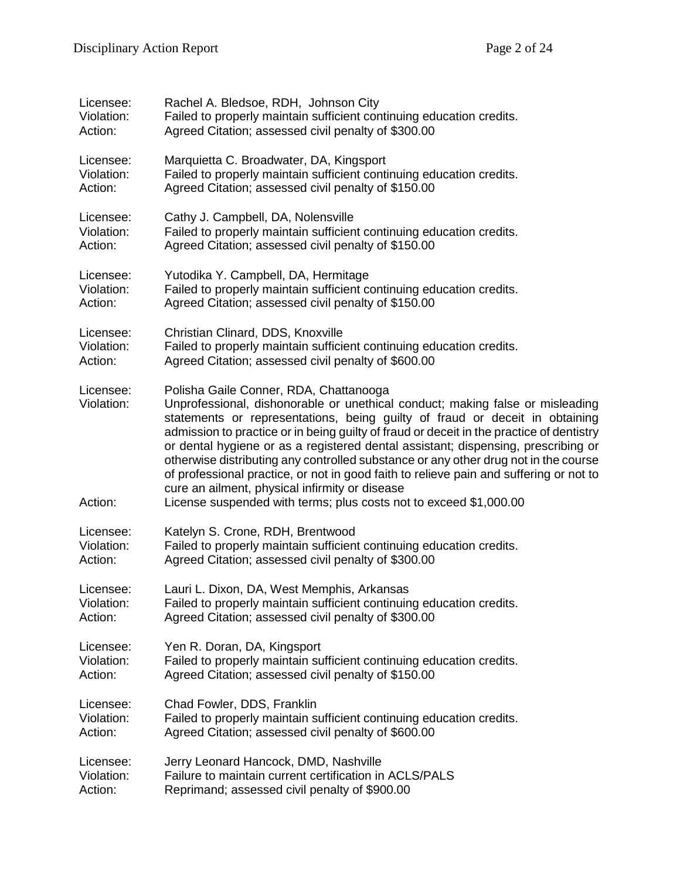| Licensee:                          | Rachel A. Bledsoe, RDH, Johnson City                                                                                                                                                                                                                                                                                                                                                                                                                                                                                                                                                                                                                                                            |
|------------------------------------|-------------------------------------------------------------------------------------------------------------------------------------------------------------------------------------------------------------------------------------------------------------------------------------------------------------------------------------------------------------------------------------------------------------------------------------------------------------------------------------------------------------------------------------------------------------------------------------------------------------------------------------------------------------------------------------------------|
| Violation:                         | Failed to properly maintain sufficient continuing education credits.                                                                                                                                                                                                                                                                                                                                                                                                                                                                                                                                                                                                                            |
| Action:                            | Agreed Citation; assessed civil penalty of \$300.00                                                                                                                                                                                                                                                                                                                                                                                                                                                                                                                                                                                                                                             |
| Licensee:                          | Marquietta C. Broadwater, DA, Kingsport                                                                                                                                                                                                                                                                                                                                                                                                                                                                                                                                                                                                                                                         |
| Violation:                         | Failed to properly maintain sufficient continuing education credits.                                                                                                                                                                                                                                                                                                                                                                                                                                                                                                                                                                                                                            |
| Action:                            | Agreed Citation; assessed civil penalty of \$150.00                                                                                                                                                                                                                                                                                                                                                                                                                                                                                                                                                                                                                                             |
| Licensee:                          | Cathy J. Campbell, DA, Nolensville                                                                                                                                                                                                                                                                                                                                                                                                                                                                                                                                                                                                                                                              |
| Violation:                         | Failed to properly maintain sufficient continuing education credits.                                                                                                                                                                                                                                                                                                                                                                                                                                                                                                                                                                                                                            |
| Action:                            | Agreed Citation; assessed civil penalty of \$150.00                                                                                                                                                                                                                                                                                                                                                                                                                                                                                                                                                                                                                                             |
| Licensee:                          | Yutodika Y. Campbell, DA, Hermitage                                                                                                                                                                                                                                                                                                                                                                                                                                                                                                                                                                                                                                                             |
| Violation:                         | Failed to properly maintain sufficient continuing education credits.                                                                                                                                                                                                                                                                                                                                                                                                                                                                                                                                                                                                                            |
| Action:                            | Agreed Citation; assessed civil penalty of \$150.00                                                                                                                                                                                                                                                                                                                                                                                                                                                                                                                                                                                                                                             |
| Licensee:                          | Christian Clinard, DDS, Knoxville                                                                                                                                                                                                                                                                                                                                                                                                                                                                                                                                                                                                                                                               |
| Violation:                         | Failed to properly maintain sufficient continuing education credits.                                                                                                                                                                                                                                                                                                                                                                                                                                                                                                                                                                                                                            |
| Action:                            | Agreed Citation; assessed civil penalty of \$600.00                                                                                                                                                                                                                                                                                                                                                                                                                                                                                                                                                                                                                                             |
| Licensee:<br>Violation:<br>Action: | Polisha Gaile Conner, RDA, Chattanooga<br>Unprofessional, dishonorable or unethical conduct; making false or misleading<br>statements or representations, being guilty of fraud or deceit in obtaining<br>admission to practice or in being guilty of fraud or deceit in the practice of dentistry<br>or dental hygiene or as a registered dental assistant; dispensing, prescribing or<br>otherwise distributing any controlled substance or any other drug not in the course<br>of professional practice, or not in good faith to relieve pain and suffering or not to<br>cure an ailment, physical infirmity or disease<br>License suspended with terms; plus costs not to exceed \$1,000.00 |
| Licensee:                          | Katelyn S. Crone, RDH, Brentwood                                                                                                                                                                                                                                                                                                                                                                                                                                                                                                                                                                                                                                                                |
| Violation:                         | Failed to properly maintain sufficient continuing education credits.                                                                                                                                                                                                                                                                                                                                                                                                                                                                                                                                                                                                                            |
| Action:                            | Agreed Citation; assessed civil penalty of \$300.00                                                                                                                                                                                                                                                                                                                                                                                                                                                                                                                                                                                                                                             |
| Licensee:                          | Lauri L. Dixon, DA, West Memphis, Arkansas                                                                                                                                                                                                                                                                                                                                                                                                                                                                                                                                                                                                                                                      |
| Violation:                         | Failed to properly maintain sufficient continuing education credits.                                                                                                                                                                                                                                                                                                                                                                                                                                                                                                                                                                                                                            |
| Action:                            | Agreed Citation; assessed civil penalty of \$300.00                                                                                                                                                                                                                                                                                                                                                                                                                                                                                                                                                                                                                                             |
| Licensee:                          | Yen R. Doran, DA, Kingsport                                                                                                                                                                                                                                                                                                                                                                                                                                                                                                                                                                                                                                                                     |
| Violation:                         | Failed to properly maintain sufficient continuing education credits.                                                                                                                                                                                                                                                                                                                                                                                                                                                                                                                                                                                                                            |
| Action:                            | Agreed Citation; assessed civil penalty of \$150.00                                                                                                                                                                                                                                                                                                                                                                                                                                                                                                                                                                                                                                             |
| Licensee:                          | Chad Fowler, DDS, Franklin                                                                                                                                                                                                                                                                                                                                                                                                                                                                                                                                                                                                                                                                      |
| Violation:                         | Failed to properly maintain sufficient continuing education credits.                                                                                                                                                                                                                                                                                                                                                                                                                                                                                                                                                                                                                            |
| Action:                            | Agreed Citation; assessed civil penalty of \$600.00                                                                                                                                                                                                                                                                                                                                                                                                                                                                                                                                                                                                                                             |
| Licensee:                          | Jerry Leonard Hancock, DMD, Nashville                                                                                                                                                                                                                                                                                                                                                                                                                                                                                                                                                                                                                                                           |
| Violation:                         | Failure to maintain current certification in ACLS/PALS                                                                                                                                                                                                                                                                                                                                                                                                                                                                                                                                                                                                                                          |
| Action:                            | Reprimand; assessed civil penalty of \$900.00                                                                                                                                                                                                                                                                                                                                                                                                                                                                                                                                                                                                                                                   |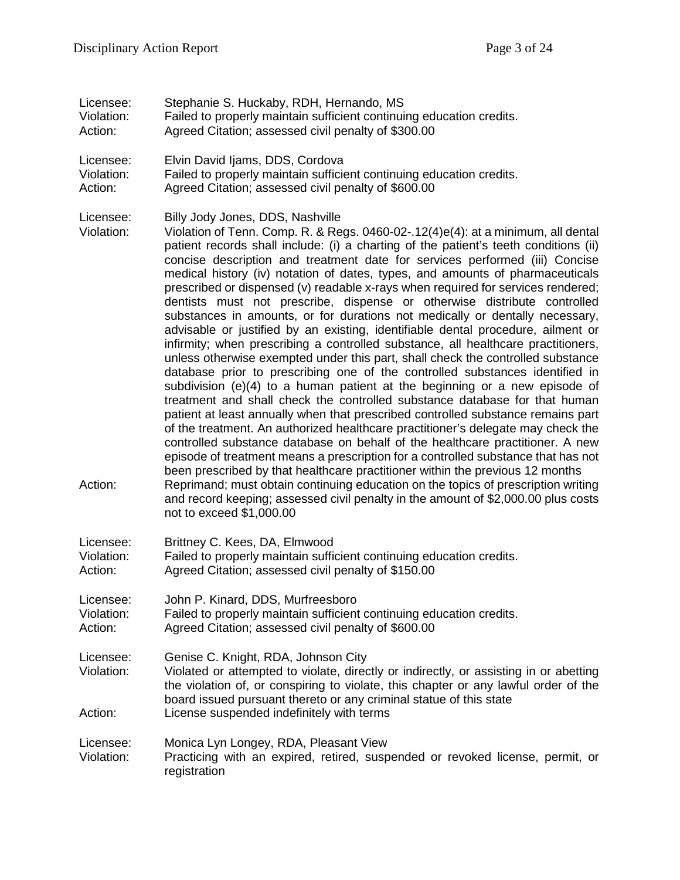Licensee: Stephanie S. Huckaby, RDH, Hernando, MS<br>Violation: Failed to properly maintain sufficient continuir Failed to properly maintain sufficient continuing education credits. Action: Agreed Citation; assessed civil penalty of \$300.00 Licensee: Elvin David Ijams, DDS, Cordova Violation: Failed to properly maintain sufficient continuing education credits. Action: Agreed Citation; assessed civil penalty of \$600.00 Licensee: Billy Jody Jones, DDS, Nashville Violation: Violation of Tenn. Comp. R. & Regs. 0460-02-.12(4)e(4): at a minimum, all dental patient records shall include: (i) a charting of the patient's teeth conditions (ii) concise description and treatment date for services performed (iii) Concise medical history (iv) notation of dates, types, and amounts of pharmaceuticals prescribed or dispensed (v) readable x-rays when required for services rendered; dentists must not prescribe, dispense or otherwise distribute controlled substances in amounts, or for durations not medically or dentally necessary, advisable or justified by an existing, identifiable dental procedure, ailment or infirmity; when prescribing a controlled substance, all healthcare practitioners, unless otherwise exempted under this part, shall check the controlled substance database prior to prescribing one of the controlled substances identified in subdivision (e)(4) to a human patient at the beginning or a new episode of treatment and shall check the controlled substance database for that human patient at least annually when that prescribed controlled substance remains part of the treatment. An authorized healthcare practitioner's delegate may check the controlled substance database on behalf of the healthcare practitioner. A new episode of treatment means a prescription for a controlled substance that has not been prescribed by that healthcare practitioner within the previous 12 months Action: Reprimand; must obtain continuing education on the topics of prescription writing and record keeping; assessed civil penalty in the amount of \$2,000.00 plus costs not to exceed \$1,000.00 Licensee: Brittney C. Kees, DA, Elmwood Failed to properly maintain sufficient continuing education credits. Action: Agreed Citation; assessed civil penalty of \$150.00 Licensee: John P. Kinard, DDS, Murfreesboro Violation: Failed to properly maintain sufficient continuing education credits. Action: Agreed Citation; assessed civil penalty of \$600.00 Licensee: Genise C. Knight, RDA, Johnson City Violation: Violated or attempted to violate, directly or indirectly, or assisting in or abetting the violation of, or conspiring to violate, this chapter or any lawful order of the board issued pursuant thereto or any criminal statue of this state Action: License suspended indefinitely with terms Licensee: Monica Lyn Longey, RDA, Pleasant View Violation: Practicing with an expired, retired, suspended or revoked license, permit, or registration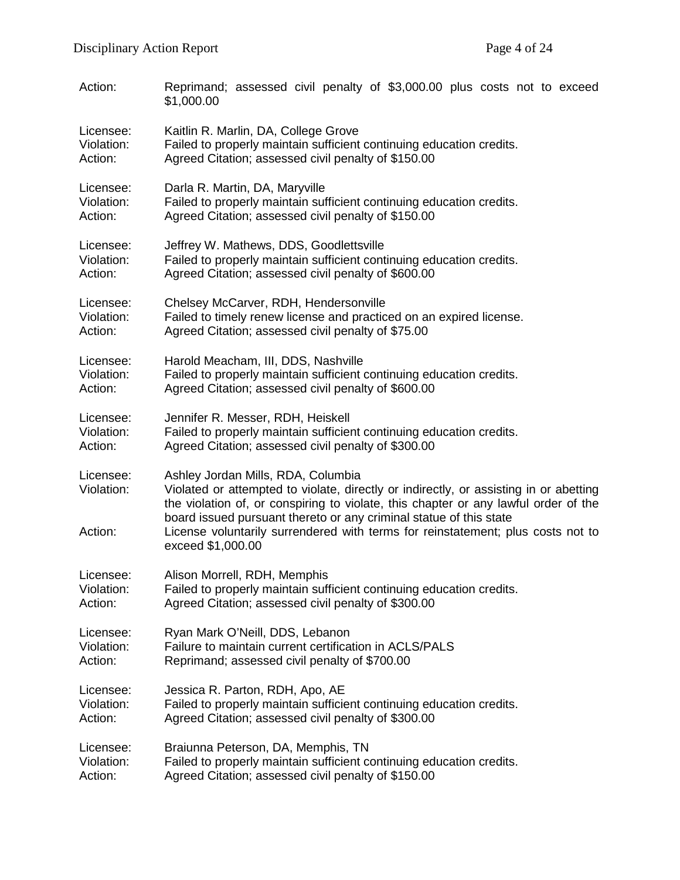| Action:                            | Reprimand; assessed civil penalty of \$3,000.00 plus costs not to exceed<br>\$1,000.00                                                                                                                                                                                                                                                                                                           |
|------------------------------------|--------------------------------------------------------------------------------------------------------------------------------------------------------------------------------------------------------------------------------------------------------------------------------------------------------------------------------------------------------------------------------------------------|
| Licensee:                          | Kaitlin R. Marlin, DA, College Grove                                                                                                                                                                                                                                                                                                                                                             |
| Violation:                         | Failed to properly maintain sufficient continuing education credits.                                                                                                                                                                                                                                                                                                                             |
| Action:                            | Agreed Citation; assessed civil penalty of \$150.00                                                                                                                                                                                                                                                                                                                                              |
| Licensee:                          | Darla R. Martin, DA, Maryville                                                                                                                                                                                                                                                                                                                                                                   |
| Violation:                         | Failed to properly maintain sufficient continuing education credits.                                                                                                                                                                                                                                                                                                                             |
| Action:                            | Agreed Citation; assessed civil penalty of \$150.00                                                                                                                                                                                                                                                                                                                                              |
| Licensee:                          | Jeffrey W. Mathews, DDS, Goodlettsville                                                                                                                                                                                                                                                                                                                                                          |
| Violation:                         | Failed to properly maintain sufficient continuing education credits.                                                                                                                                                                                                                                                                                                                             |
| Action:                            | Agreed Citation; assessed civil penalty of \$600.00                                                                                                                                                                                                                                                                                                                                              |
| Licensee:                          | Chelsey McCarver, RDH, Hendersonville                                                                                                                                                                                                                                                                                                                                                            |
| Violation:                         | Failed to timely renew license and practiced on an expired license.                                                                                                                                                                                                                                                                                                                              |
| Action:                            | Agreed Citation; assessed civil penalty of \$75.00                                                                                                                                                                                                                                                                                                                                               |
| Licensee:                          | Harold Meacham, III, DDS, Nashville                                                                                                                                                                                                                                                                                                                                                              |
| Violation:                         | Failed to properly maintain sufficient continuing education credits.                                                                                                                                                                                                                                                                                                                             |
| Action:                            | Agreed Citation; assessed civil penalty of \$600.00                                                                                                                                                                                                                                                                                                                                              |
| Licensee:                          | Jennifer R. Messer, RDH, Heiskell                                                                                                                                                                                                                                                                                                                                                                |
| Violation:                         | Failed to properly maintain sufficient continuing education credits.                                                                                                                                                                                                                                                                                                                             |
| Action:                            | Agreed Citation; assessed civil penalty of \$300.00                                                                                                                                                                                                                                                                                                                                              |
| Licensee:<br>Violation:<br>Action: | Ashley Jordan Mills, RDA, Columbia<br>Violated or attempted to violate, directly or indirectly, or assisting in or abetting<br>the violation of, or conspiring to violate, this chapter or any lawful order of the<br>board issued pursuant thereto or any criminal statue of this state<br>License voluntarily surrendered with terms for reinstatement; plus costs not to<br>exceed \$1,000.00 |
| Licensee:                          | Alison Morrell, RDH, Memphis                                                                                                                                                                                                                                                                                                                                                                     |
| Violation:                         | Failed to properly maintain sufficient continuing education credits.                                                                                                                                                                                                                                                                                                                             |
| Action:                            | Agreed Citation; assessed civil penalty of \$300.00                                                                                                                                                                                                                                                                                                                                              |
| Licensee:                          | Ryan Mark O'Neill, DDS, Lebanon                                                                                                                                                                                                                                                                                                                                                                  |
| Violation:                         | Failure to maintain current certification in ACLS/PALS                                                                                                                                                                                                                                                                                                                                           |
| Action:                            | Reprimand; assessed civil penalty of \$700.00                                                                                                                                                                                                                                                                                                                                                    |
| Licensee:                          | Jessica R. Parton, RDH, Apo, AE                                                                                                                                                                                                                                                                                                                                                                  |
| Violation:                         | Failed to properly maintain sufficient continuing education credits.                                                                                                                                                                                                                                                                                                                             |
| Action:                            | Agreed Citation; assessed civil penalty of \$300.00                                                                                                                                                                                                                                                                                                                                              |
| Licensee:                          | Braiunna Peterson, DA, Memphis, TN                                                                                                                                                                                                                                                                                                                                                               |
| Violation:                         | Failed to properly maintain sufficient continuing education credits.                                                                                                                                                                                                                                                                                                                             |
| Action:                            | Agreed Citation; assessed civil penalty of \$150.00                                                                                                                                                                                                                                                                                                                                              |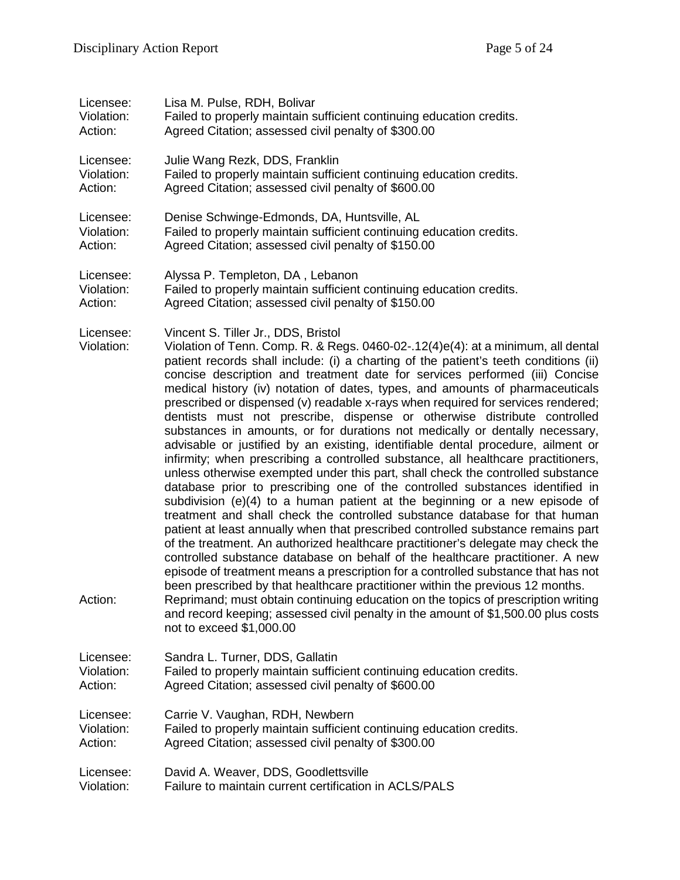| Licensee:                          | Lisa M. Pulse, RDH, Bolivar                                                                                                                                                                                                                                                                                                                                                                                                                                                                                                                                                                                                                                                                                                                                                                                                                                                                                                                                                                                                                                                                                                                                                                                                                                                                                                                                                                                                                                                                                                                                                                                                                                                                                                                         |
|------------------------------------|-----------------------------------------------------------------------------------------------------------------------------------------------------------------------------------------------------------------------------------------------------------------------------------------------------------------------------------------------------------------------------------------------------------------------------------------------------------------------------------------------------------------------------------------------------------------------------------------------------------------------------------------------------------------------------------------------------------------------------------------------------------------------------------------------------------------------------------------------------------------------------------------------------------------------------------------------------------------------------------------------------------------------------------------------------------------------------------------------------------------------------------------------------------------------------------------------------------------------------------------------------------------------------------------------------------------------------------------------------------------------------------------------------------------------------------------------------------------------------------------------------------------------------------------------------------------------------------------------------------------------------------------------------------------------------------------------------------------------------------------------------|
| Violation:                         | Failed to properly maintain sufficient continuing education credits.                                                                                                                                                                                                                                                                                                                                                                                                                                                                                                                                                                                                                                                                                                                                                                                                                                                                                                                                                                                                                                                                                                                                                                                                                                                                                                                                                                                                                                                                                                                                                                                                                                                                                |
| Action:                            | Agreed Citation; assessed civil penalty of \$300.00                                                                                                                                                                                                                                                                                                                                                                                                                                                                                                                                                                                                                                                                                                                                                                                                                                                                                                                                                                                                                                                                                                                                                                                                                                                                                                                                                                                                                                                                                                                                                                                                                                                                                                 |
| Licensee:                          | Julie Wang Rezk, DDS, Franklin                                                                                                                                                                                                                                                                                                                                                                                                                                                                                                                                                                                                                                                                                                                                                                                                                                                                                                                                                                                                                                                                                                                                                                                                                                                                                                                                                                                                                                                                                                                                                                                                                                                                                                                      |
| Violation:                         | Failed to properly maintain sufficient continuing education credits.                                                                                                                                                                                                                                                                                                                                                                                                                                                                                                                                                                                                                                                                                                                                                                                                                                                                                                                                                                                                                                                                                                                                                                                                                                                                                                                                                                                                                                                                                                                                                                                                                                                                                |
| Action:                            | Agreed Citation; assessed civil penalty of \$600.00                                                                                                                                                                                                                                                                                                                                                                                                                                                                                                                                                                                                                                                                                                                                                                                                                                                                                                                                                                                                                                                                                                                                                                                                                                                                                                                                                                                                                                                                                                                                                                                                                                                                                                 |
| Licensee:                          | Denise Schwinge-Edmonds, DA, Huntsville, AL                                                                                                                                                                                                                                                                                                                                                                                                                                                                                                                                                                                                                                                                                                                                                                                                                                                                                                                                                                                                                                                                                                                                                                                                                                                                                                                                                                                                                                                                                                                                                                                                                                                                                                         |
| Violation:                         | Failed to properly maintain sufficient continuing education credits.                                                                                                                                                                                                                                                                                                                                                                                                                                                                                                                                                                                                                                                                                                                                                                                                                                                                                                                                                                                                                                                                                                                                                                                                                                                                                                                                                                                                                                                                                                                                                                                                                                                                                |
| Action:                            | Agreed Citation; assessed civil penalty of \$150.00                                                                                                                                                                                                                                                                                                                                                                                                                                                                                                                                                                                                                                                                                                                                                                                                                                                                                                                                                                                                                                                                                                                                                                                                                                                                                                                                                                                                                                                                                                                                                                                                                                                                                                 |
| Licensee:                          | Alyssa P. Templeton, DA, Lebanon                                                                                                                                                                                                                                                                                                                                                                                                                                                                                                                                                                                                                                                                                                                                                                                                                                                                                                                                                                                                                                                                                                                                                                                                                                                                                                                                                                                                                                                                                                                                                                                                                                                                                                                    |
| Violation:                         | Failed to properly maintain sufficient continuing education credits.                                                                                                                                                                                                                                                                                                                                                                                                                                                                                                                                                                                                                                                                                                                                                                                                                                                                                                                                                                                                                                                                                                                                                                                                                                                                                                                                                                                                                                                                                                                                                                                                                                                                                |
| Action:                            | Agreed Citation; assessed civil penalty of \$150.00                                                                                                                                                                                                                                                                                                                                                                                                                                                                                                                                                                                                                                                                                                                                                                                                                                                                                                                                                                                                                                                                                                                                                                                                                                                                                                                                                                                                                                                                                                                                                                                                                                                                                                 |
| Licensee:<br>Violation:<br>Action: | Vincent S. Tiller Jr., DDS, Bristol<br>Violation of Tenn. Comp. R. & Regs. 0460-02-.12(4)e(4): at a minimum, all dental<br>patient records shall include: (i) a charting of the patient's teeth conditions (ii)<br>concise description and treatment date for services performed (iii) Concise<br>medical history (iv) notation of dates, types, and amounts of pharmaceuticals<br>prescribed or dispensed (v) readable x-rays when required for services rendered;<br>dentists must not prescribe, dispense or otherwise distribute controlled<br>substances in amounts, or for durations not medically or dentally necessary,<br>advisable or justified by an existing, identifiable dental procedure, ailment or<br>infirmity; when prescribing a controlled substance, all healthcare practitioners,<br>unless otherwise exempted under this part, shall check the controlled substance<br>database prior to prescribing one of the controlled substances identified in<br>subdivision $(e)(4)$ to a human patient at the beginning or a new episode of<br>treatment and shall check the controlled substance database for that human<br>patient at least annually when that prescribed controlled substance remains part<br>of the treatment. An authorized healthcare practitioner's delegate may check the<br>controlled substance database on behalf of the healthcare practitioner. A new<br>episode of treatment means a prescription for a controlled substance that has not<br>been prescribed by that healthcare practitioner within the previous 12 months.<br>Reprimand; must obtain continuing education on the topics of prescription writing<br>and record keeping; assessed civil penalty in the amount of \$1,500.00 plus costs |
|                                    | not to exceed \$1,000.00                                                                                                                                                                                                                                                                                                                                                                                                                                                                                                                                                                                                                                                                                                                                                                                                                                                                                                                                                                                                                                                                                                                                                                                                                                                                                                                                                                                                                                                                                                                                                                                                                                                                                                                            |
| Licensee:                          | Sandra L. Turner, DDS, Gallatin                                                                                                                                                                                                                                                                                                                                                                                                                                                                                                                                                                                                                                                                                                                                                                                                                                                                                                                                                                                                                                                                                                                                                                                                                                                                                                                                                                                                                                                                                                                                                                                                                                                                                                                     |
| Violation:                         | Failed to properly maintain sufficient continuing education credits.                                                                                                                                                                                                                                                                                                                                                                                                                                                                                                                                                                                                                                                                                                                                                                                                                                                                                                                                                                                                                                                                                                                                                                                                                                                                                                                                                                                                                                                                                                                                                                                                                                                                                |
| Action:                            | Agreed Citation; assessed civil penalty of \$600.00                                                                                                                                                                                                                                                                                                                                                                                                                                                                                                                                                                                                                                                                                                                                                                                                                                                                                                                                                                                                                                                                                                                                                                                                                                                                                                                                                                                                                                                                                                                                                                                                                                                                                                 |
| Licensee:                          | Carrie V. Vaughan, RDH, Newbern                                                                                                                                                                                                                                                                                                                                                                                                                                                                                                                                                                                                                                                                                                                                                                                                                                                                                                                                                                                                                                                                                                                                                                                                                                                                                                                                                                                                                                                                                                                                                                                                                                                                                                                     |
| Violation:                         | Failed to properly maintain sufficient continuing education credits.                                                                                                                                                                                                                                                                                                                                                                                                                                                                                                                                                                                                                                                                                                                                                                                                                                                                                                                                                                                                                                                                                                                                                                                                                                                                                                                                                                                                                                                                                                                                                                                                                                                                                |
| Action:                            | Agreed Citation; assessed civil penalty of \$300.00                                                                                                                                                                                                                                                                                                                                                                                                                                                                                                                                                                                                                                                                                                                                                                                                                                                                                                                                                                                                                                                                                                                                                                                                                                                                                                                                                                                                                                                                                                                                                                                                                                                                                                 |
| Licensee:                          | David A. Weaver, DDS, Goodlettsville                                                                                                                                                                                                                                                                                                                                                                                                                                                                                                                                                                                                                                                                                                                                                                                                                                                                                                                                                                                                                                                                                                                                                                                                                                                                                                                                                                                                                                                                                                                                                                                                                                                                                                                |
| Violation:                         | Failure to maintain current certification in ACLS/PALS                                                                                                                                                                                                                                                                                                                                                                                                                                                                                                                                                                                                                                                                                                                                                                                                                                                                                                                                                                                                                                                                                                                                                                                                                                                                                                                                                                                                                                                                                                                                                                                                                                                                                              |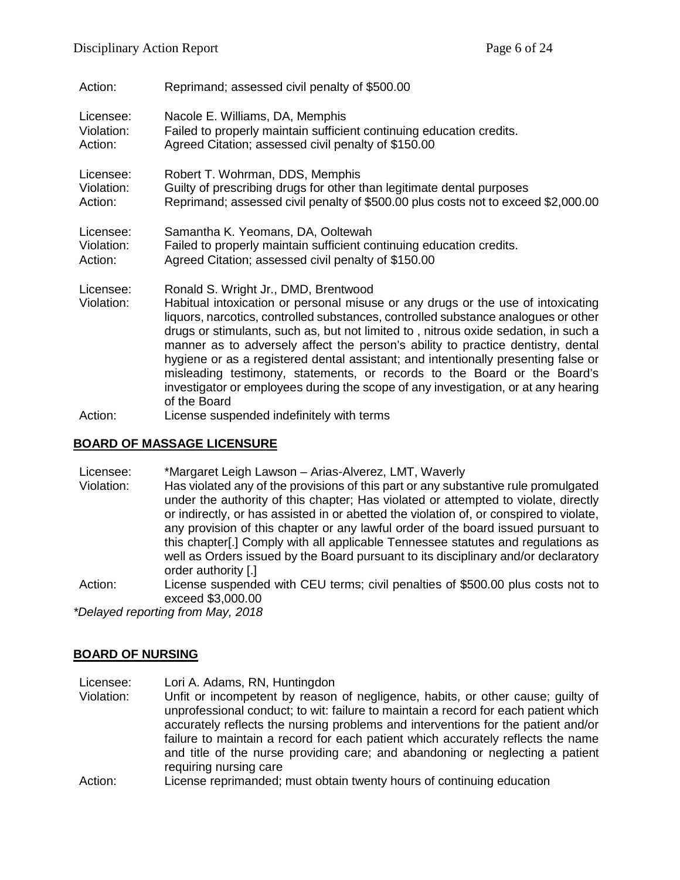| Action:                 | Reprimand; assessed civil penalty of \$500.00                                                                                                                                                                                                                                                                                                                                                                                                                                                                                                                                                                                                                     |
|-------------------------|-------------------------------------------------------------------------------------------------------------------------------------------------------------------------------------------------------------------------------------------------------------------------------------------------------------------------------------------------------------------------------------------------------------------------------------------------------------------------------------------------------------------------------------------------------------------------------------------------------------------------------------------------------------------|
| Licensee:               | Nacole E. Williams, DA, Memphis                                                                                                                                                                                                                                                                                                                                                                                                                                                                                                                                                                                                                                   |
| Violation:              | Failed to properly maintain sufficient continuing education credits.                                                                                                                                                                                                                                                                                                                                                                                                                                                                                                                                                                                              |
| Action:                 | Agreed Citation; assessed civil penalty of \$150.00                                                                                                                                                                                                                                                                                                                                                                                                                                                                                                                                                                                                               |
| Licensee:               | Robert T. Wohrman, DDS, Memphis                                                                                                                                                                                                                                                                                                                                                                                                                                                                                                                                                                                                                                   |
| Violation:              | Guilty of prescribing drugs for other than legitimate dental purposes                                                                                                                                                                                                                                                                                                                                                                                                                                                                                                                                                                                             |
| Action:                 | Reprimand; assessed civil penalty of \$500.00 plus costs not to exceed \$2,000.00                                                                                                                                                                                                                                                                                                                                                                                                                                                                                                                                                                                 |
| Licensee:               | Samantha K. Yeomans, DA, Ooltewah                                                                                                                                                                                                                                                                                                                                                                                                                                                                                                                                                                                                                                 |
| Violation:              | Failed to properly maintain sufficient continuing education credits.                                                                                                                                                                                                                                                                                                                                                                                                                                                                                                                                                                                              |
| Action:                 | Agreed Citation; assessed civil penalty of \$150.00                                                                                                                                                                                                                                                                                                                                                                                                                                                                                                                                                                                                               |
| Licensee:<br>Violation: | Ronald S. Wright Jr., DMD, Brentwood<br>Habitual intoxication or personal misuse or any drugs or the use of intoxicating<br>liquors, narcotics, controlled substances, controlled substance analogues or other<br>drugs or stimulants, such as, but not limited to, nitrous oxide sedation, in such a<br>manner as to adversely affect the person's ability to practice dentistry, dental<br>hygiene or as a registered dental assistant; and intentionally presenting false or<br>misleading testimony, statements, or records to the Board or the Board's<br>investigator or employees during the scope of any investigation, or at any hearing<br>of the Board |
| Action:                 | License suspended indefinitely with terms                                                                                                                                                                                                                                                                                                                                                                                                                                                                                                                                                                                                                         |

# **BOARD OF MASSAGE LICENSURE**

| Licensee:  | *Margaret Leigh Lawson – Arias-Alverez, LMT, Waverly                                    |
|------------|-----------------------------------------------------------------------------------------|
| Violation: | Has violated any of the provisions of this part or any substantive rule promulgated     |
|            | under the authority of this chapter; Has violated or attempted to violate, directly     |
|            | or indirectly, or has assisted in or abetted the violation of, or conspired to violate, |
|            | any provision of this chapter or any lawful order of the board issued pursuant to       |
|            | this chapter[.] Comply with all applicable Tennessee statutes and regulations as        |
|            | well as Orders issued by the Board pursuant to its disciplinary and/or declaratory      |
|            | order authority [.]                                                                     |
| Action:    | License suspended with CEU terms; civil penalties of \$500.00 plus costs not to         |
|            | exceed \$3,000.00                                                                       |
|            | $*$ Deleveration of the original Mass. 0040                                             |

*\*Delayed reporting from May, 2018*

# **BOARD OF NURSING**

- Licensee: Lori A. Adams, RN, Huntingdon<br>Violation: Unfit or incompetent by reason Unfit or incompetent by reason of negligence, habits, or other cause; guilty of unprofessional conduct; to wit: failure to maintain a record for each patient which accurately reflects the nursing problems and interventions for the patient and/or failure to maintain a record for each patient which accurately reflects the name and title of the nurse providing care; and abandoning or neglecting a patient requiring nursing care
- Action: License reprimanded; must obtain twenty hours of continuing education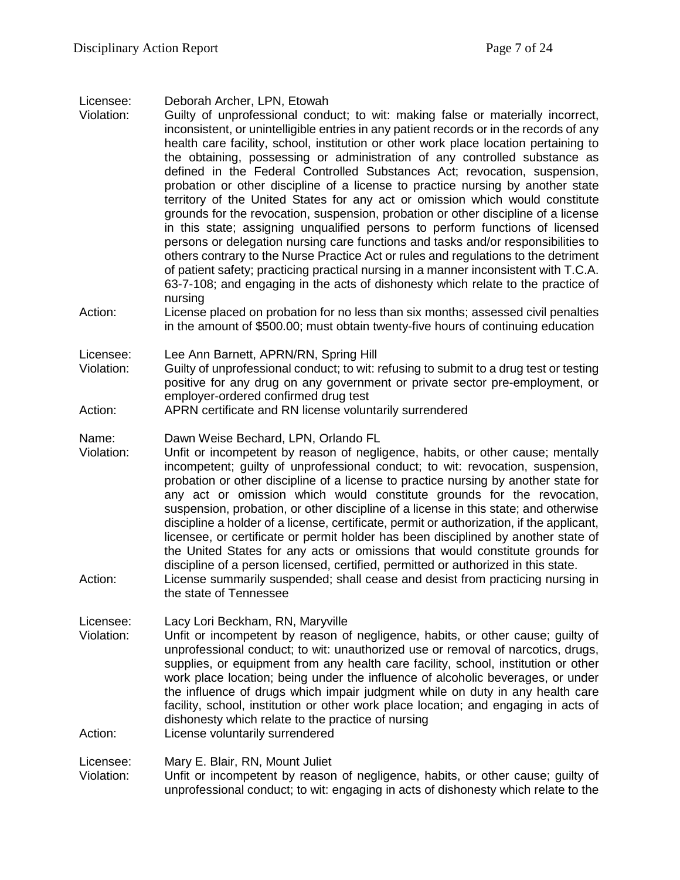Licensee: Deborah Archer, LPN, Etowah

- Violation: Guilty of unprofessional conduct; to wit: making false or materially incorrect, inconsistent, or unintelligible entries in any patient records or in the records of any health care facility, school, institution or other work place location pertaining to the obtaining, possessing or administration of any controlled substance as defined in the Federal Controlled Substances Act; revocation, suspension, probation or other discipline of a license to practice nursing by another state territory of the United States for any act or omission which would constitute grounds for the revocation, suspension, probation or other discipline of a license in this state; assigning unqualified persons to perform functions of licensed persons or delegation nursing care functions and tasks and/or responsibilities to others contrary to the Nurse Practice Act or rules and regulations to the detriment of patient safety; practicing practical nursing in a manner inconsistent with T.C.A. 63-7-108; and engaging in the acts of dishonesty which relate to the practice of nursing
- Action: License placed on probation for no less than six months; assessed civil penalties in the amount of \$500.00; must obtain twenty-five hours of continuing education

Licensee: Lee Ann Barnett, APRN/RN, Spring Hill

- Violation: Guilty of unprofessional conduct; to wit: refusing to submit to a drug test or testing positive for any drug on any government or private sector pre-employment, or employer-ordered confirmed drug test
- Action: APRN certificate and RN license voluntarily surrendered
- Name: Dawn Weise Bechard, LPN, Orlando FL
- Violation: Unfit or incompetent by reason of negligence, habits, or other cause; mentally incompetent; guilty of unprofessional conduct; to wit: revocation, suspension, probation or other discipline of a license to practice nursing by another state for any act or omission which would constitute grounds for the revocation, suspension, probation, or other discipline of a license in this state; and otherwise discipline a holder of a license, certificate, permit or authorization, if the applicant, licensee, or certificate or permit holder has been disciplined by another state of the United States for any acts or omissions that would constitute grounds for discipline of a person licensed, certified, permitted or authorized in this state.
- Action: License summarily suspended; shall cease and desist from practicing nursing in the state of Tennessee

Licensee: Lacy Lori Beckham, RN, Maryville

Violation: Unfit or incompetent by reason of negligence, habits, or other cause; guilty of unprofessional conduct; to wit: unauthorized use or removal of narcotics, drugs, supplies, or equipment from any health care facility, school, institution or other work place location; being under the influence of alcoholic beverages, or under the influence of drugs which impair judgment while on duty in any health care facility, school, institution or other work place location; and engaging in acts of dishonesty which relate to the practice of nursing

Action: License voluntarily surrendered

Licensee: Mary E. Blair, RN, Mount Juliet

Violation: Unfit or incompetent by reason of negligence, habits, or other cause; guilty of unprofessional conduct; to wit: engaging in acts of dishonesty which relate to the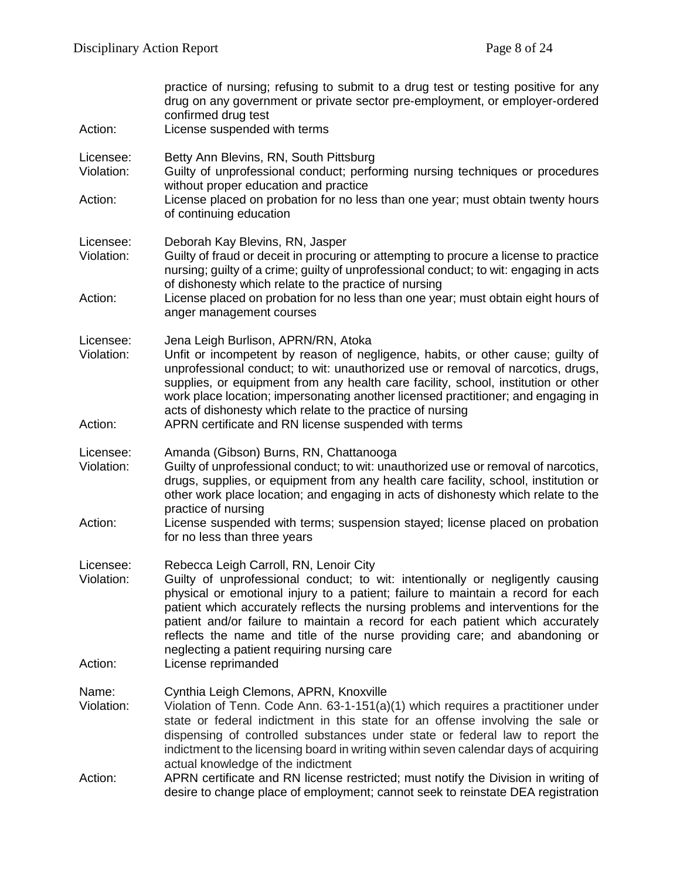| Action:                 | practice of nursing; refusing to submit to a drug test or testing positive for any<br>drug on any government or private sector pre-employment, or employer-ordered<br>confirmed drug test<br>License suspended with terms                                                                                                                                                                                                                                                                                      |
|-------------------------|----------------------------------------------------------------------------------------------------------------------------------------------------------------------------------------------------------------------------------------------------------------------------------------------------------------------------------------------------------------------------------------------------------------------------------------------------------------------------------------------------------------|
| Licensee:<br>Violation: | Betty Ann Blevins, RN, South Pittsburg<br>Guilty of unprofessional conduct; performing nursing techniques or procedures<br>without proper education and practice                                                                                                                                                                                                                                                                                                                                               |
| Action:                 | License placed on probation for no less than one year; must obtain twenty hours<br>of continuing education                                                                                                                                                                                                                                                                                                                                                                                                     |
| Licensee:<br>Violation: | Deborah Kay Blevins, RN, Jasper<br>Guilty of fraud or deceit in procuring or attempting to procure a license to practice<br>nursing; guilty of a crime; guilty of unprofessional conduct; to wit: engaging in acts<br>of dishonesty which relate to the practice of nursing                                                                                                                                                                                                                                    |
| Action:                 | License placed on probation for no less than one year; must obtain eight hours of<br>anger management courses                                                                                                                                                                                                                                                                                                                                                                                                  |
| Licensee:<br>Violation: | Jena Leigh Burlison, APRN/RN, Atoka<br>Unfit or incompetent by reason of negligence, habits, or other cause; guilty of<br>unprofessional conduct; to wit: unauthorized use or removal of narcotics, drugs,<br>supplies, or equipment from any health care facility, school, institution or other<br>work place location; impersonating another licensed practitioner; and engaging in<br>acts of dishonesty which relate to the practice of nursing                                                            |
| Action:                 | APRN certificate and RN license suspended with terms                                                                                                                                                                                                                                                                                                                                                                                                                                                           |
| Licensee:<br>Violation: | Amanda (Gibson) Burns, RN, Chattanooga<br>Guilty of unprofessional conduct; to wit: unauthorized use or removal of narcotics,<br>drugs, supplies, or equipment from any health care facility, school, institution or<br>other work place location; and engaging in acts of dishonesty which relate to the<br>practice of nursing                                                                                                                                                                               |
| Action:                 | License suspended with terms; suspension stayed; license placed on probation<br>for no less than three years                                                                                                                                                                                                                                                                                                                                                                                                   |
| Licensee:<br>Violation: | Rebecca Leigh Carroll, RN, Lenoir City<br>Guilty of unprofessional conduct; to wit: intentionally or negligently causing<br>physical or emotional injury to a patient; failure to maintain a record for each<br>patient which accurately reflects the nursing problems and interventions for the<br>patient and/or failure to maintain a record for each patient which accurately<br>reflects the name and title of the nurse providing care; and abandoning or<br>neglecting a patient requiring nursing care |
| Action:                 | License reprimanded                                                                                                                                                                                                                                                                                                                                                                                                                                                                                            |
| Name:<br>Violation:     | Cynthia Leigh Clemons, APRN, Knoxville<br>Violation of Tenn. Code Ann. 63-1-151(a)(1) which requires a practitioner under<br>state or federal indictment in this state for an offense involving the sale or<br>dispensing of controlled substances under state or federal law to report the<br>indictment to the licensing board in writing within seven calendar days of acquiring<br>actual knowledge of the indictment                                                                                      |
| Action:                 | APRN certificate and RN license restricted; must notify the Division in writing of<br>desire to change place of employment; cannot seek to reinstate DEA registration                                                                                                                                                                                                                                                                                                                                          |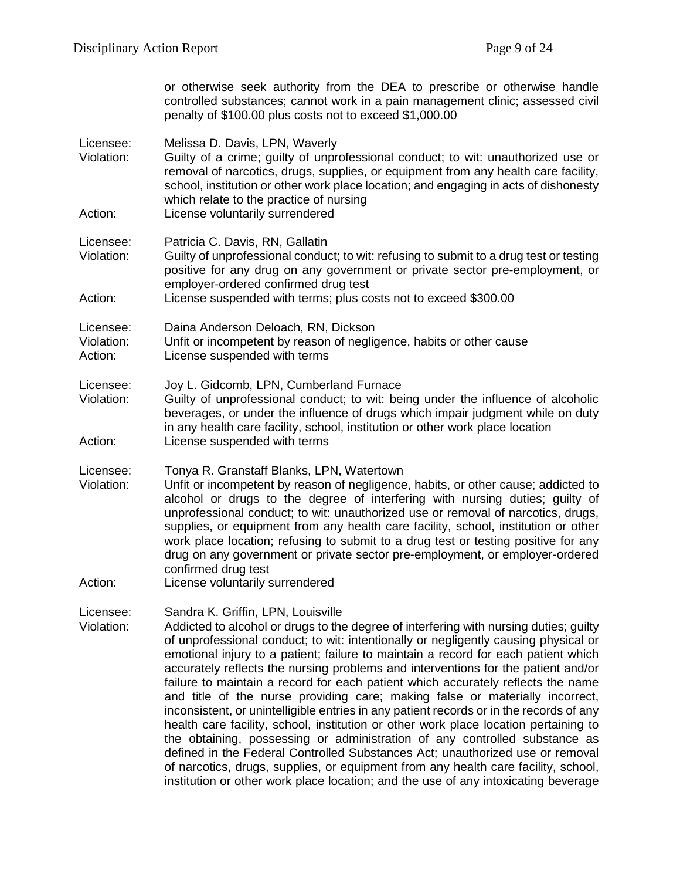or otherwise seek authority from the DEA to prescribe or otherwise handle controlled substances; cannot work in a pain management clinic; assessed civil penalty of \$100.00 plus costs not to exceed \$1,000.00

Licensee: Melissa D. Davis, LPN, Waverly

Violation: Guilty of a crime; guilty of unprofessional conduct; to wit: unauthorized use or removal of narcotics, drugs, supplies, or equipment from any health care facility, school, institution or other work place location; and engaging in acts of dishonesty which relate to the practice of nursing

Action: License voluntarily surrendered

Licensee: Patricia C. Davis, RN, Gallatin

Violation: Guilty of unprofessional conduct; to wit: refusing to submit to a drug test or testing positive for any drug on any government or private sector pre-employment, or employer-ordered confirmed drug test

Action: License suspended with terms; plus costs not to exceed \$300.00

Licensee: Daina Anderson Deloach, RN, Dickson

Violation: Unfit or incompetent by reason of negligence, habits or other cause

Action: License suspended with terms

Licensee: Joy L. Gidcomb, LPN, Cumberland Furnace

Violation: Guilty of unprofessional conduct; to wit: being under the influence of alcoholic beverages, or under the influence of drugs which impair judgment while on duty in any health care facility, school, institution or other work place location Action: License suspended with terms

Licensee: Tonya R. Granstaff Blanks, LPN, Watertown

Violation: Unfit or incompetent by reason of negligence, habits, or other cause; addicted to alcohol or drugs to the degree of interfering with nursing duties; guilty of unprofessional conduct; to wit: unauthorized use or removal of narcotics, drugs, supplies, or equipment from any health care facility, school, institution or other work place location; refusing to submit to a drug test or testing positive for any drug on any government or private sector pre-employment, or employer-ordered confirmed drug test

Action: License voluntarily surrendered

Licensee: Sandra K. Griffin, LPN, Louisville

Violation: Addicted to alcohol or drugs to the degree of interfering with nursing duties; guilty of unprofessional conduct; to wit: intentionally or negligently causing physical or emotional injury to a patient; failure to maintain a record for each patient which accurately reflects the nursing problems and interventions for the patient and/or failure to maintain a record for each patient which accurately reflects the name and title of the nurse providing care; making false or materially incorrect, inconsistent, or unintelligible entries in any patient records or in the records of any health care facility, school, institution or other work place location pertaining to the obtaining, possessing or administration of any controlled substance as defined in the Federal Controlled Substances Act; unauthorized use or removal of narcotics, drugs, supplies, or equipment from any health care facility, school, institution or other work place location; and the use of any intoxicating beverage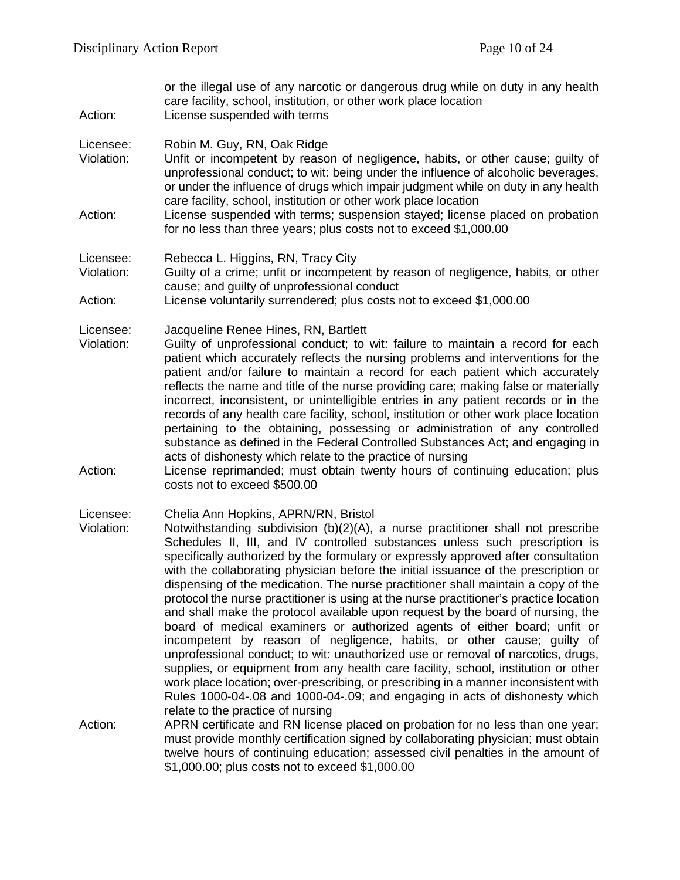or the illegal use of any narcotic or dangerous drug while on duty in any health care facility, school, institution, or other work place location

Action: License suspended with terms

Licensee: Robin M. Guy, RN, Oak Ridge

- Violation: Unfit or incompetent by reason of negligence, habits, or other cause; guilty of unprofessional conduct; to wit: being under the influence of alcoholic beverages, or under the influence of drugs which impair judgment while on duty in any health care facility, school, institution or other work place location
- Action: License suspended with terms; suspension stayed; license placed on probation for no less than three years; plus costs not to exceed \$1,000.00

#### Licensee: Rebecca L. Higgins, RN, Tracy City

Violation: Guilty of a crime; unfit or incompetent by reason of negligence, habits, or other cause; and guilty of unprofessional conduct

Action: License voluntarily surrendered; plus costs not to exceed \$1,000.00

- Licensee: Jacqueline Renee Hines, RN, Bartlett
- Violation: Guilty of unprofessional conduct; to wit: failure to maintain a record for each patient which accurately reflects the nursing problems and interventions for the patient and/or failure to maintain a record for each patient which accurately reflects the name and title of the nurse providing care; making false or materially incorrect, inconsistent, or unintelligible entries in any patient records or in the records of any health care facility, school, institution or other work place location pertaining to the obtaining, possessing or administration of any controlled substance as defined in the Federal Controlled Substances Act; and engaging in acts of dishonesty which relate to the practice of nursing
- Action: License reprimanded; must obtain twenty hours of continuing education; plus costs not to exceed \$500.00

Licensee: Chelia Ann Hopkins, APRN/RN, Bristol

- Violation: Notwithstanding subdivision (b)(2)(A), a nurse practitioner shall not prescribe Schedules II, III, and IV controlled substances unless such prescription is specifically authorized by the formulary or expressly approved after consultation with the collaborating physician before the initial issuance of the prescription or dispensing of the medication. The nurse practitioner shall maintain a copy of the protocol the nurse practitioner is using at the nurse practitioner's practice location and shall make the protocol available upon request by the board of nursing, the board of medical examiners or authorized agents of either board; unfit or incompetent by reason of negligence, habits, or other cause; guilty of unprofessional conduct; to wit: unauthorized use or removal of narcotics, drugs, supplies, or equipment from any health care facility, school, institution or other work place location; over-prescribing, or prescribing in a manner inconsistent with Rules 1000-04-.08 and 1000-04-.09; and engaging in acts of dishonesty which relate to the practice of nursing
- Action: APRN certificate and RN license placed on probation for no less than one year; must provide monthly certification signed by collaborating physician; must obtain twelve hours of continuing education; assessed civil penalties in the amount of \$1,000.00; plus costs not to exceed \$1,000.00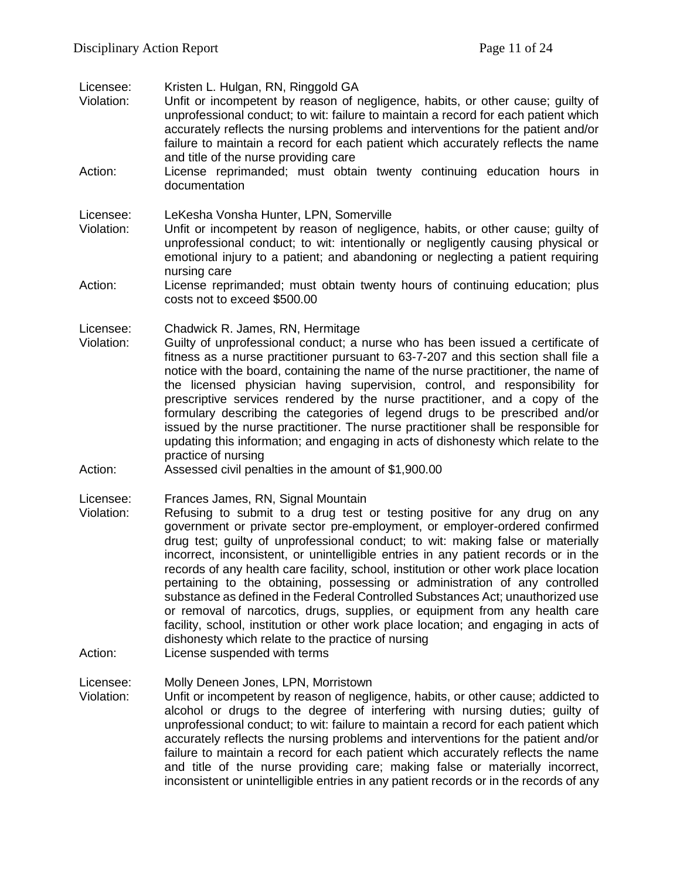Licensee: Kristen L. Hulgan, RN, Ringgold GA

- Violation: Unfit or incompetent by reason of negligence, habits, or other cause; guilty of unprofessional conduct; to wit: failure to maintain a record for each patient which accurately reflects the nursing problems and interventions for the patient and/or failure to maintain a record for each patient which accurately reflects the name and title of the nurse providing care
- Action: License reprimanded; must obtain twenty continuing education hours in documentation

Licensee: LeKesha Vonsha Hunter, LPN, Somerville

- Violation: Unfit or incompetent by reason of negligence, habits, or other cause; guilty of unprofessional conduct; to wit: intentionally or negligently causing physical or emotional injury to a patient; and abandoning or neglecting a patient requiring nursing care
- Action: License reprimanded; must obtain twenty hours of continuing education; plus costs not to exceed \$500.00

Licensee: Chadwick R. James, RN, Hermitage<br>Violation: Guilty of unprofessional conduct: a

- Guilty of unprofessional conduct; a nurse who has been issued a certificate of fitness as a nurse practitioner pursuant to 63-7-207 and this section shall file a notice with the board, containing the name of the nurse practitioner, the name of the licensed physician having supervision, control, and responsibility for prescriptive services rendered by the nurse practitioner, and a copy of the formulary describing the categories of legend drugs to be prescribed and/or issued by the nurse practitioner. The nurse practitioner shall be responsible for updating this information; and engaging in acts of dishonesty which relate to the practice of nursing
- Action: Assessed civil penalties in the amount of \$1,900.00

Licensee: Frances James, RN, Signal Mountain<br>Violation: Refusing to submit to a drug test

- Refusing to submit to a drug test or testing positive for any drug on any government or private sector pre-employment, or employer-ordered confirmed drug test; guilty of unprofessional conduct; to wit: making false or materially incorrect, inconsistent, or unintelligible entries in any patient records or in the records of any health care facility, school, institution or other work place location pertaining to the obtaining, possessing or administration of any controlled substance as defined in the Federal Controlled Substances Act; unauthorized use or removal of narcotics, drugs, supplies, or equipment from any health care facility, school, institution or other work place location; and engaging in acts of dishonesty which relate to the practice of nursing
- Action: License suspended with terms

Licensee: Molly Deneen Jones, LPN, Morristown

Violation: Unfit or incompetent by reason of negligence, habits, or other cause; addicted to alcohol or drugs to the degree of interfering with nursing duties; guilty of unprofessional conduct; to wit: failure to maintain a record for each patient which accurately reflects the nursing problems and interventions for the patient and/or failure to maintain a record for each patient which accurately reflects the name and title of the nurse providing care; making false or materially incorrect, inconsistent or unintelligible entries in any patient records or in the records of any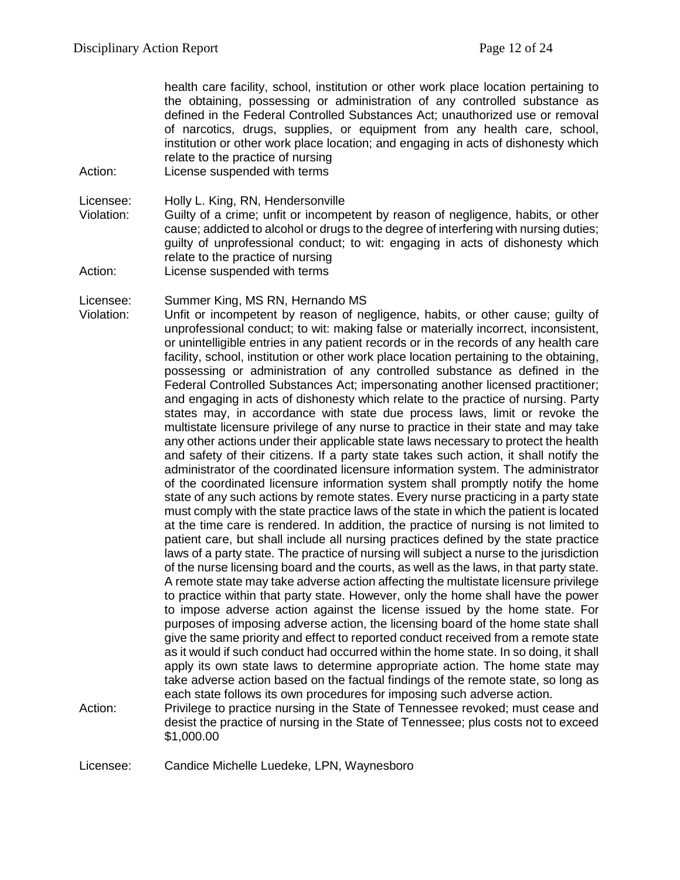health care facility, school, institution or other work place location pertaining to the obtaining, possessing or administration of any controlled substance as defined in the Federal Controlled Substances Act; unauthorized use or removal of narcotics, drugs, supplies, or equipment from any health care, school, institution or other work place location; and engaging in acts of dishonesty which relate to the practice of nursing

Action: License suspended with terms

Licensee: Holly L. King, RN, Hendersonville

- Violation: Guilty of a crime; unfit or incompetent by reason of negligence, habits, or other cause; addicted to alcohol or drugs to the degree of interfering with nursing duties; guilty of unprofessional conduct; to wit: engaging in acts of dishonesty which relate to the practice of nursing
- Action: License suspended with terms

Licensee: Summer King, MS RN, Hernando MS

- Violation: Unfit or incompetent by reason of negligence, habits, or other cause; guilty of unprofessional conduct; to wit: making false or materially incorrect, inconsistent, or unintelligible entries in any patient records or in the records of any health care facility, school, institution or other work place location pertaining to the obtaining, possessing or administration of any controlled substance as defined in the Federal Controlled Substances Act; impersonating another licensed practitioner; and engaging in acts of dishonesty which relate to the practice of nursing. Party states may, in accordance with state due process laws, limit or revoke the multistate licensure privilege of any nurse to practice in their state and may take any other actions under their applicable state laws necessary to protect the health and safety of their citizens. If a party state takes such action, it shall notify the administrator of the coordinated licensure information system. The administrator of the coordinated licensure information system shall promptly notify the home state of any such actions by remote states. Every nurse practicing in a party state must comply with the state practice laws of the state in which the patient is located at the time care is rendered. In addition, the practice of nursing is not limited to patient care, but shall include all nursing practices defined by the state practice laws of a party state. The practice of nursing will subject a nurse to the jurisdiction of the nurse licensing board and the courts, as well as the laws, in that party state. A remote state may take adverse action affecting the multistate licensure privilege to practice within that party state. However, only the home shall have the power to impose adverse action against the license issued by the home state. For purposes of imposing adverse action, the licensing board of the home state shall give the same priority and effect to reported conduct received from a remote state as it would if such conduct had occurred within the home state. In so doing, it shall apply its own state laws to determine appropriate action. The home state may take adverse action based on the factual findings of the remote state, so long as each state follows its own procedures for imposing such adverse action.
- Action: Privilege to practice nursing in the State of Tennessee revoked; must cease and desist the practice of nursing in the State of Tennessee; plus costs not to exceed \$1,000.00

Licensee: Candice Michelle Luedeke, LPN, Waynesboro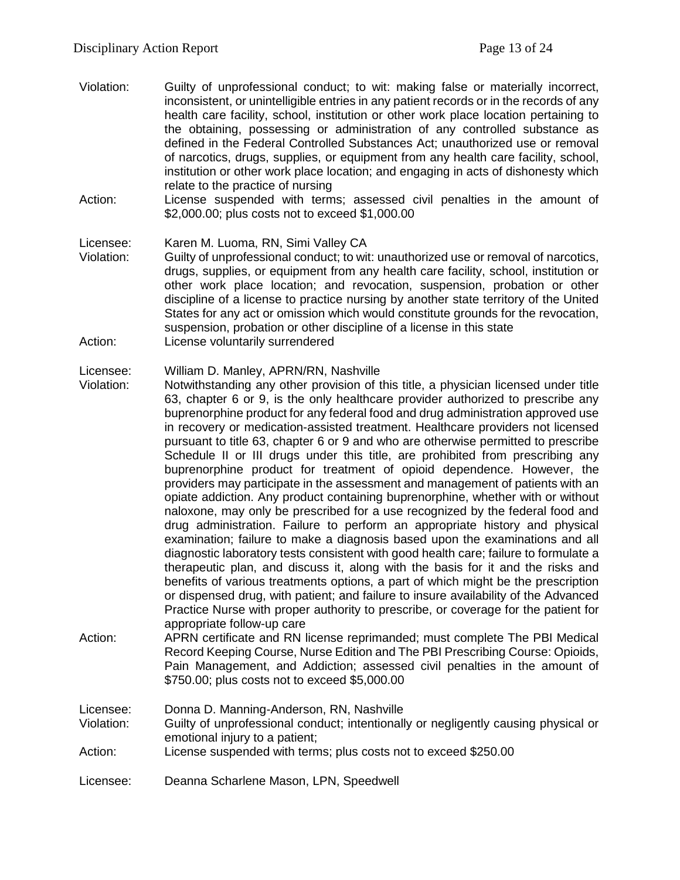- Violation: Guilty of unprofessional conduct; to wit: making false or materially incorrect, inconsistent, or unintelligible entries in any patient records or in the records of any health care facility, school, institution or other work place location pertaining to the obtaining, possessing or administration of any controlled substance as defined in the Federal Controlled Substances Act; unauthorized use or removal of narcotics, drugs, supplies, or equipment from any health care facility, school, institution or other work place location; and engaging in acts of dishonesty which relate to the practice of nursing
- Action: License suspended with terms; assessed civil penalties in the amount of \$2,000.00; plus costs not to exceed \$1,000.00

Licensee: Karen M. Luoma, RN, Simi Valley CA

Violation: Guilty of unprofessional conduct; to wit: unauthorized use or removal of narcotics, drugs, supplies, or equipment from any health care facility, school, institution or other work place location; and revocation, suspension, probation or other discipline of a license to practice nursing by another state territory of the United States for any act or omission which would constitute grounds for the revocation, suspension, probation or other discipline of a license in this state Action: License voluntarily surrendered

#### Licensee: William D. Manley, APRN/RN, Nashville

- Violation: Notwithstanding any other provision of this title, a physician licensed under title 63, chapter 6 or 9, is the only healthcare provider authorized to prescribe any buprenorphine product for any federal food and drug administration approved use in recovery or medication-assisted treatment. Healthcare providers not licensed pursuant to title 63, chapter 6 or 9 and who are otherwise permitted to prescribe Schedule II or III drugs under this title, are prohibited from prescribing any buprenorphine product for treatment of opioid dependence. However, the providers may participate in the assessment and management of patients with an opiate addiction. Any product containing buprenorphine, whether with or without naloxone, may only be prescribed for a use recognized by the federal food and drug administration. Failure to perform an appropriate history and physical examination; failure to make a diagnosis based upon the examinations and all diagnostic laboratory tests consistent with good health care; failure to formulate a therapeutic plan, and discuss it, along with the basis for it and the risks and benefits of various treatments options, a part of which might be the prescription or dispensed drug, with patient; and failure to insure availability of the Advanced Practice Nurse with proper authority to prescribe, or coverage for the patient for appropriate follow-up care Action: APRN certificate and RN license reprimanded; must complete The PBI Medical
	- Record Keeping Course, Nurse Edition and The PBI Prescribing Course: Opioids, Pain Management, and Addiction; assessed civil penalties in the amount of \$750.00; plus costs not to exceed \$5,000.00

Licensee: Donna D. Manning-Anderson, RN, Nashville

Violation: Guilty of unprofessional conduct; intentionally or negligently causing physical or emotional injury to a patient;

- Action: License suspended with terms; plus costs not to exceed \$250.00
- Licensee: Deanna Scharlene Mason, LPN, Speedwell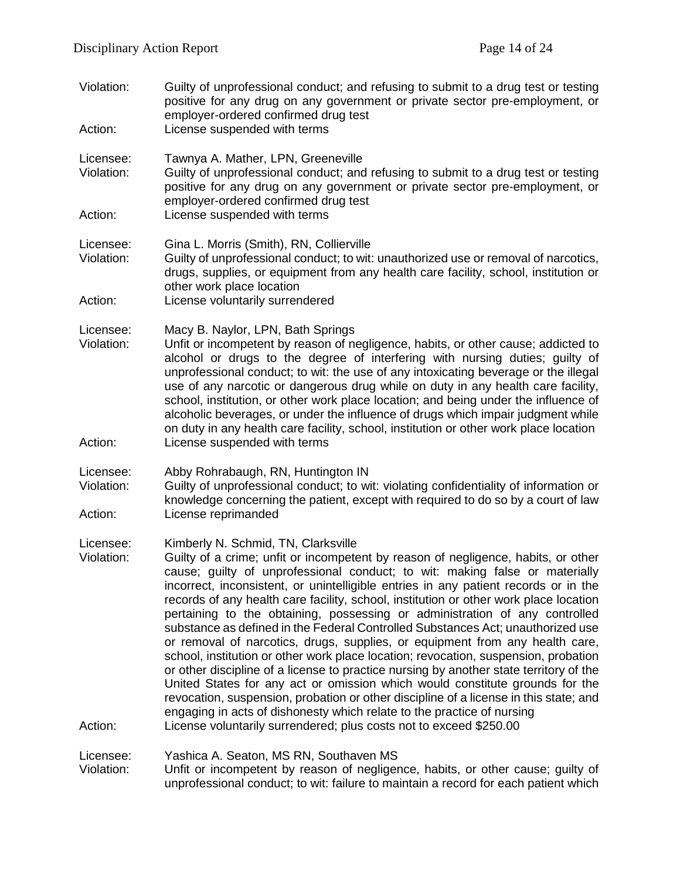- Violation: Guilty of unprofessional conduct; and refusing to submit to a drug test or testing positive for any drug on any government or private sector pre-employment, or employer-ordered confirmed drug test
- Action: License suspended with terms
- Licensee: Tawnya A. Mather, LPN, Greeneville<br>Violation: Guilty of unprofessional conduct: and
- Guilty of unprofessional conduct; and refusing to submit to a drug test or testing positive for any drug on any government or private sector pre-employment, or employer-ordered confirmed drug test
- Action: License suspended with terms

Licensee: Gina L. Morris (Smith), RN, Collierville

- Violation: Guilty of unprofessional conduct; to wit: unauthorized use or removal of narcotics, drugs, supplies, or equipment from any health care facility, school, institution or other work place location
- Action: License voluntarily surrendered
- Licensee: Macy B. Naylor, LPN, Bath Springs
- Violation: Unfit or incompetent by reason of negligence, habits, or other cause; addicted to alcohol or drugs to the degree of interfering with nursing duties; guilty of unprofessional conduct; to wit: the use of any intoxicating beverage or the illegal use of any narcotic or dangerous drug while on duty in any health care facility, school, institution, or other work place location; and being under the influence of alcoholic beverages, or under the influence of drugs which impair judgment while on duty in any health care facility, school, institution or other work place location Action: License suspended with terms
- Licensee: Abby Rohrabaugh, RN, Huntington IN

Violation: Guilty of unprofessional conduct; to wit: violating confidentiality of information or knowledge concerning the patient, except with required to do so by a court of law Action: License reprimanded

Licensee: Kimberly N. Schmid, TN, Clarksville

Violation: Guilty of a crime; unfit or incompetent by reason of negligence, habits, or other cause; guilty of unprofessional conduct; to wit: making false or materially incorrect, inconsistent, or unintelligible entries in any patient records or in the records of any health care facility, school, institution or other work place location pertaining to the obtaining, possessing or administration of any controlled substance as defined in the Federal Controlled Substances Act; unauthorized use or removal of narcotics, drugs, supplies, or equipment from any health care, school, institution or other work place location; revocation, suspension, probation or other discipline of a license to practice nursing by another state territory of the United States for any act or omission which would constitute grounds for the revocation, suspension, probation or other discipline of a license in this state; and engaging in acts of dishonesty which relate to the practice of nursing Action: License voluntarily surrendered; plus costs not to exceed \$250.00

# Licensee: Yashica A. Seaton, MS RN, Southaven MS

Unfit or incompetent by reason of negligence, habits, or other cause; guilty of unprofessional conduct; to wit: failure to maintain a record for each patient which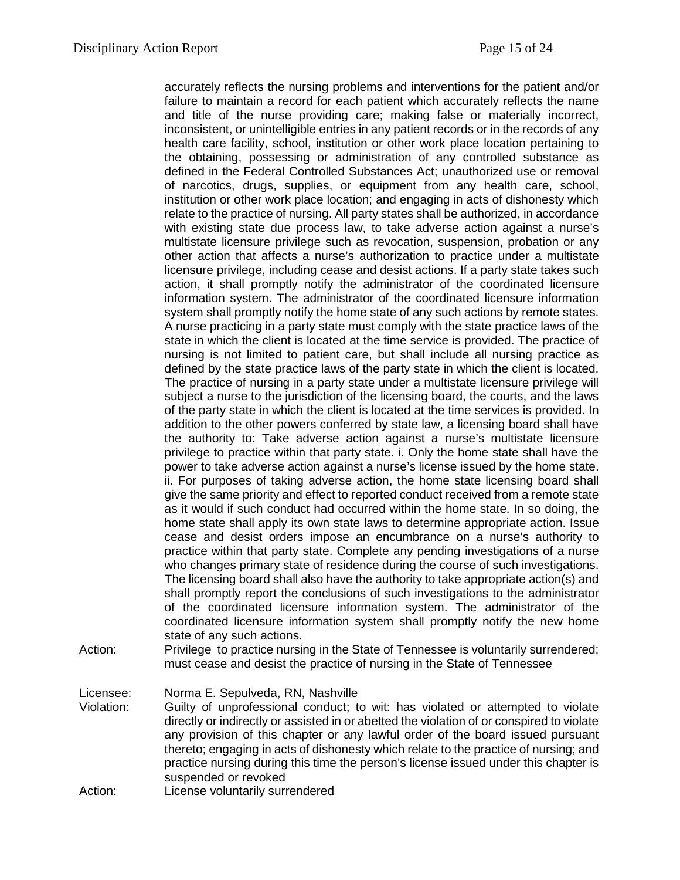accurately reflects the nursing problems and interventions for the patient and/or failure to maintain a record for each patient which accurately reflects the name and title of the nurse providing care; making false or materially incorrect, inconsistent, or unintelligible entries in any patient records or in the records of any health care facility, school, institution or other work place location pertaining to the obtaining, possessing or administration of any controlled substance as defined in the Federal Controlled Substances Act; unauthorized use or removal of narcotics, drugs, supplies, or equipment from any health care, school, institution or other work place location; and engaging in acts of dishonesty which relate to the practice of nursing. All party states shall be authorized, in accordance with existing state due process law, to take adverse action against a nurse's multistate licensure privilege such as revocation, suspension, probation or any other action that affects a nurse's authorization to practice under a multistate licensure privilege, including cease and desist actions. If a party state takes such action, it shall promptly notify the administrator of the coordinated licensure information system. The administrator of the coordinated licensure information system shall promptly notify the home state of any such actions by remote states. A nurse practicing in a party state must comply with the state practice laws of the state in which the client is located at the time service is provided. The practice of nursing is not limited to patient care, but shall include all nursing practice as defined by the state practice laws of the party state in which the client is located. The practice of nursing in a party state under a multistate licensure privilege will subject a nurse to the jurisdiction of the licensing board, the courts, and the laws of the party state in which the client is located at the time services is provided. In addition to the other powers conferred by state law, a licensing board shall have the authority to: Take adverse action against a nurse's multistate licensure privilege to practice within that party state. i. Only the home state shall have the power to take adverse action against a nurse's license issued by the home state. ii. For purposes of taking adverse action, the home state licensing board shall give the same priority and effect to reported conduct received from a remote state as it would if such conduct had occurred within the home state. In so doing, the home state shall apply its own state laws to determine appropriate action. Issue cease and desist orders impose an encumbrance on a nurse's authority to practice within that party state. Complete any pending investigations of a nurse who changes primary state of residence during the course of such investigations. The licensing board shall also have the authority to take appropriate action(s) and shall promptly report the conclusions of such investigations to the administrator of the coordinated licensure information system. The administrator of the coordinated licensure information system shall promptly notify the new home state of any such actions.

Action: Privilege to practice nursing in the State of Tennessee is voluntarily surrendered; must cease and desist the practice of nursing in the State of Tennessee

Licensee: Norma E. Sepulveda, RN, Nashville

- Violation: Guilty of unprofessional conduct; to wit: has violated or attempted to violate directly or indirectly or assisted in or abetted the violation of or conspired to violate any provision of this chapter or any lawful order of the board issued pursuant thereto; engaging in acts of dishonesty which relate to the practice of nursing; and practice nursing during this time the person's license issued under this chapter is suspended or revoked
- Action: License voluntarily surrendered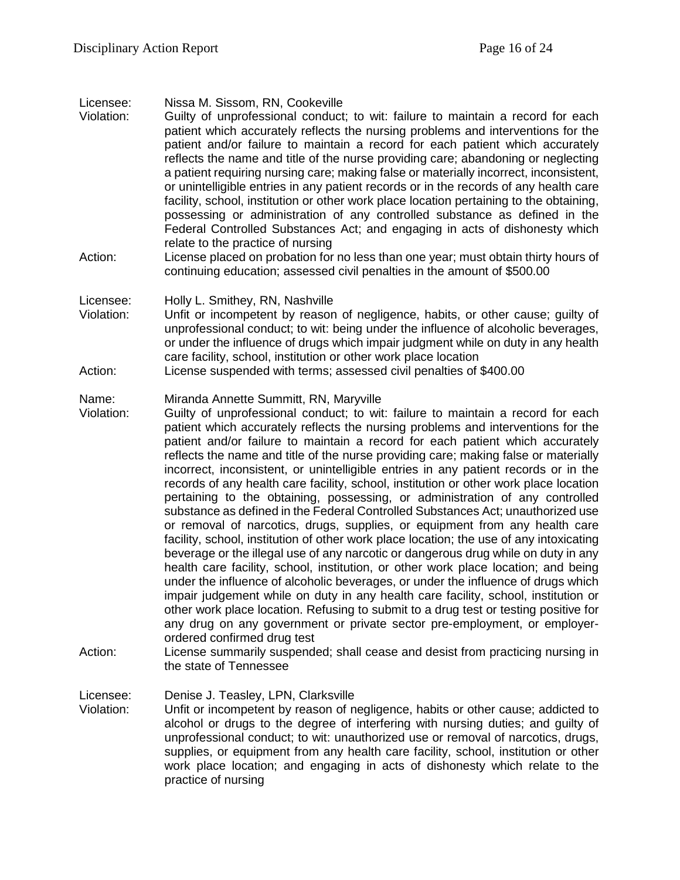# Licensee: Nissa M. Sissom, RN, Cookeville

- Guilty of unprofessional conduct; to wit: failure to maintain a record for each patient which accurately reflects the nursing problems and interventions for the patient and/or failure to maintain a record for each patient which accurately reflects the name and title of the nurse providing care; abandoning or neglecting a patient requiring nursing care; making false or materially incorrect, inconsistent, or unintelligible entries in any patient records or in the records of any health care facility, school, institution or other work place location pertaining to the obtaining, possessing or administration of any controlled substance as defined in the Federal Controlled Substances Act; and engaging in acts of dishonesty which relate to the practice of nursing
- Action: License placed on probation for no less than one year; must obtain thirty hours of continuing education; assessed civil penalties in the amount of \$500.00

#### Licensee: Holly L. Smithey, RN, Nashville

- Violation: Unfit or incompetent by reason of negligence, habits, or other cause; guilty of unprofessional conduct; to wit: being under the influence of alcoholic beverages, or under the influence of drugs which impair judgment while on duty in any health care facility, school, institution or other work place location
- Action: License suspended with terms; assessed civil penalties of \$400.00

#### Name: Miranda Annette Summitt, RN, Maryville

- Violation: Guilty of unprofessional conduct; to wit: failure to maintain a record for each patient which accurately reflects the nursing problems and interventions for the patient and/or failure to maintain a record for each patient which accurately reflects the name and title of the nurse providing care; making false or materially incorrect, inconsistent, or unintelligible entries in any patient records or in the records of any health care facility, school, institution or other work place location pertaining to the obtaining, possessing, or administration of any controlled substance as defined in the Federal Controlled Substances Act; unauthorized use or removal of narcotics, drugs, supplies, or equipment from any health care facility, school, institution of other work place location; the use of any intoxicating beverage or the illegal use of any narcotic or dangerous drug while on duty in any health care facility, school, institution, or other work place location; and being under the influence of alcoholic beverages, or under the influence of drugs which impair judgement while on duty in any health care facility, school, institution or other work place location. Refusing to submit to a drug test or testing positive for any drug on any government or private sector pre-employment, or employerordered confirmed drug test
- Action: License summarily suspended; shall cease and desist from practicing nursing in the state of Tennessee

Licensee: Denise J. Teasley, LPN, Clarksville<br>Violation: Unfit or incompetent by reason of n

Unfit or incompetent by reason of negligence, habits or other cause; addicted to alcohol or drugs to the degree of interfering with nursing duties; and guilty of unprofessional conduct; to wit: unauthorized use or removal of narcotics, drugs, supplies, or equipment from any health care facility, school, institution or other work place location; and engaging in acts of dishonesty which relate to the practice of nursing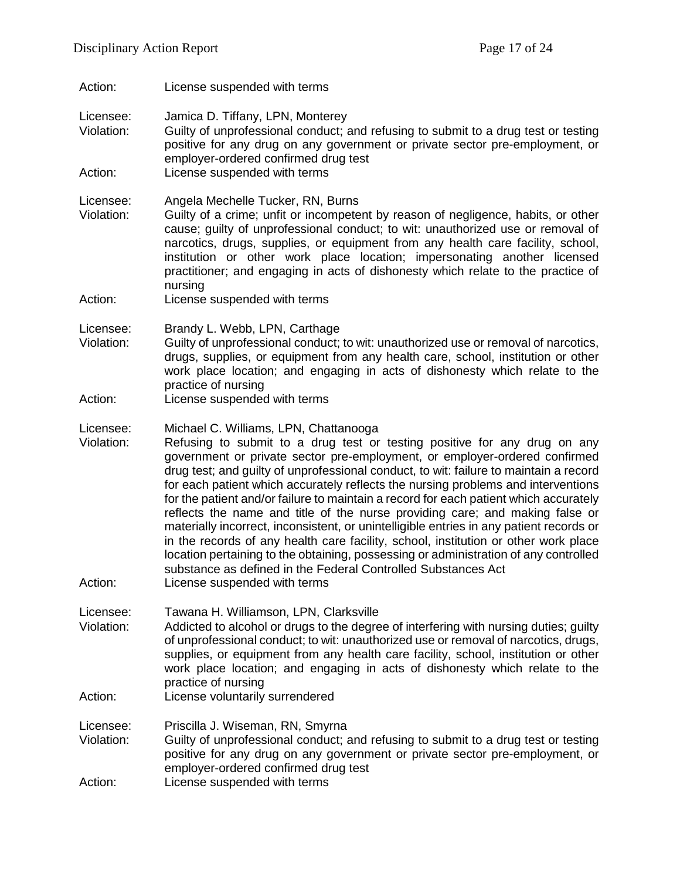Action: License suspended with terms

Licensee: Jamica D. Tiffany, LPN, Monterey

Violation: Guilty of unprofessional conduct; and refusing to submit to a drug test or testing positive for any drug on any government or private sector pre-employment, or employer-ordered confirmed drug test

Action: License suspended with terms

Licensee: Angela Mechelle Tucker, RN, Burns

- Violation: Guilty of a crime; unfit or incompetent by reason of negligence, habits, or other cause; guilty of unprofessional conduct; to wit: unauthorized use or removal of narcotics, drugs, supplies, or equipment from any health care facility, school, institution or other work place location; impersonating another licensed practitioner; and engaging in acts of dishonesty which relate to the practice of nursing
- Action: License suspended with terms

Licensee: Brandy L. Webb, LPN, Carthage<br>Violation: Guilty of unprofessional conduct:

- Guilty of unprofessional conduct; to wit: unauthorized use or removal of narcotics, drugs, supplies, or equipment from any health care, school, institution or other work place location; and engaging in acts of dishonesty which relate to the practice of nursing
- Action: License suspended with terms
- Licensee: Michael C. Williams, LPN, Chattanooga
- Violation: Refusing to submit to a drug test or testing positive for any drug on any government or private sector pre-employment, or employer-ordered confirmed drug test; and guilty of unprofessional conduct, to wit: failure to maintain a record for each patient which accurately reflects the nursing problems and interventions for the patient and/or failure to maintain a record for each patient which accurately reflects the name and title of the nurse providing care; and making false or materially incorrect, inconsistent, or unintelligible entries in any patient records or in the records of any health care facility, school, institution or other work place location pertaining to the obtaining, possessing or administration of any controlled substance as defined in the Federal Controlled Substances Act
- Action: License suspended with terms

Licensee: Tawana H. Williamson, LPN, Clarksville

- Violation: Addicted to alcohol or drugs to the degree of interfering with nursing duties; guilty of unprofessional conduct; to wit: unauthorized use or removal of narcotics, drugs, supplies, or equipment from any health care facility, school, institution or other work place location; and engaging in acts of dishonesty which relate to the practice of nursing
- Action: License voluntarily surrendered

Licensee: Priscilla J. Wiseman, RN, Smyrna

- Violation: Guilty of unprofessional conduct; and refusing to submit to a drug test or testing positive for any drug on any government or private sector pre-employment, or employer-ordered confirmed drug test
- Action: License suspended with terms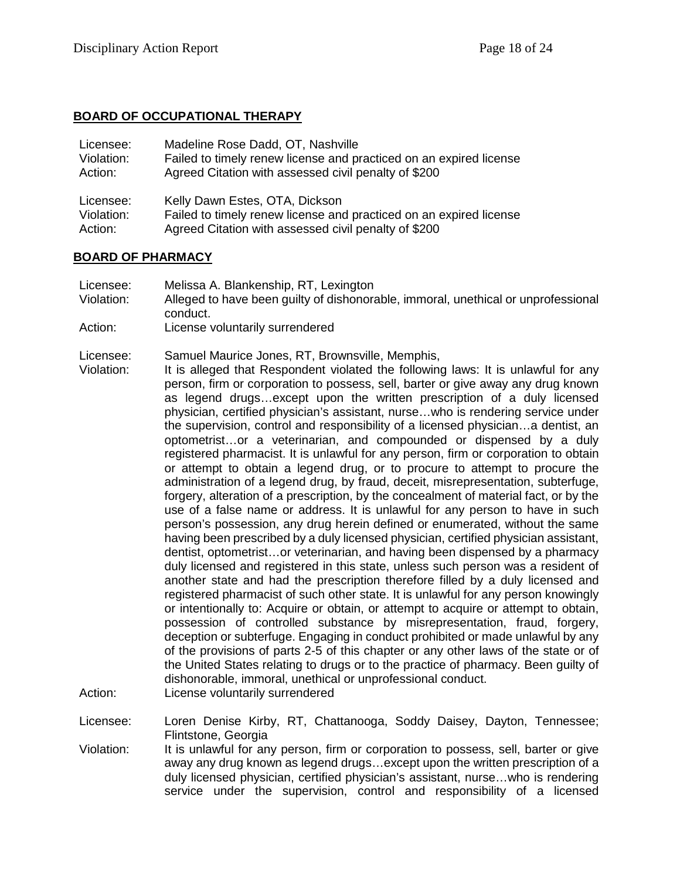### **BOARD OF OCCUPATIONAL THERAPY**

| Licensee:  | Madeline Rose Dadd, OT, Nashville                                  |
|------------|--------------------------------------------------------------------|
| Violation: | Failed to timely renew license and practiced on an expired license |
| Action:    | Agreed Citation with assessed civil penalty of \$200               |
| Licensee:  | Kelly Dawn Estes, OTA, Dickson                                     |
| Violation: | Failed to timely renew license and practiced on an expired license |
| Action:    | Agreed Citation with assessed civil penalty of \$200               |

#### **BOARD OF PHARMACY**

- Licensee: Melissa A. Blankenship, RT, Lexington
- Violation: Alleged to have been guilty of dishonorable, immoral, unethical or unprofessional conduct.
- Action: License voluntarily surrendered

Licensee: Samuel Maurice Jones, RT, Brownsville, Memphis,

- Violation: It is alleged that Respondent violated the following laws: It is unlawful for any person, firm or corporation to possess, sell, barter or give away any drug known as legend drugs…except upon the written prescription of a duly licensed physician, certified physician's assistant, nurse…who is rendering service under the supervision, control and responsibility of a licensed physician…a dentist, an optometrist…or a veterinarian, and compounded or dispensed by a duly registered pharmacist. It is unlawful for any person, firm or corporation to obtain or attempt to obtain a legend drug, or to procure to attempt to procure the administration of a legend drug, by fraud, deceit, misrepresentation, subterfuge, forgery, alteration of a prescription, by the concealment of material fact, or by the use of a false name or address. It is unlawful for any person to have in such person's possession, any drug herein defined or enumerated, without the same having been prescribed by a duly licensed physician, certified physician assistant, dentist, optometrist…or veterinarian, and having been dispensed by a pharmacy duly licensed and registered in this state, unless such person was a resident of another state and had the prescription therefore filled by a duly licensed and registered pharmacist of such other state. It is unlawful for any person knowingly or intentionally to: Acquire or obtain, or attempt to acquire or attempt to obtain, possession of controlled substance by misrepresentation, fraud, forgery, deception or subterfuge. Engaging in conduct prohibited or made unlawful by any of the provisions of parts 2-5 of this chapter or any other laws of the state or of the United States relating to drugs or to the practice of pharmacy. Been guilty of dishonorable, immoral, unethical or unprofessional conduct.
- Action: License voluntarily surrendered

Licensee: Loren Denise Kirby, RT, Chattanooga, Soddy Daisey, Dayton, Tennessee; Flintstone, Georgia

Violation: It is unlawful for any person, firm or corporation to possess, sell, barter or give away any drug known as legend drugs…except upon the written prescription of a duly licensed physician, certified physician's assistant, nurse…who is rendering service under the supervision, control and responsibility of a licensed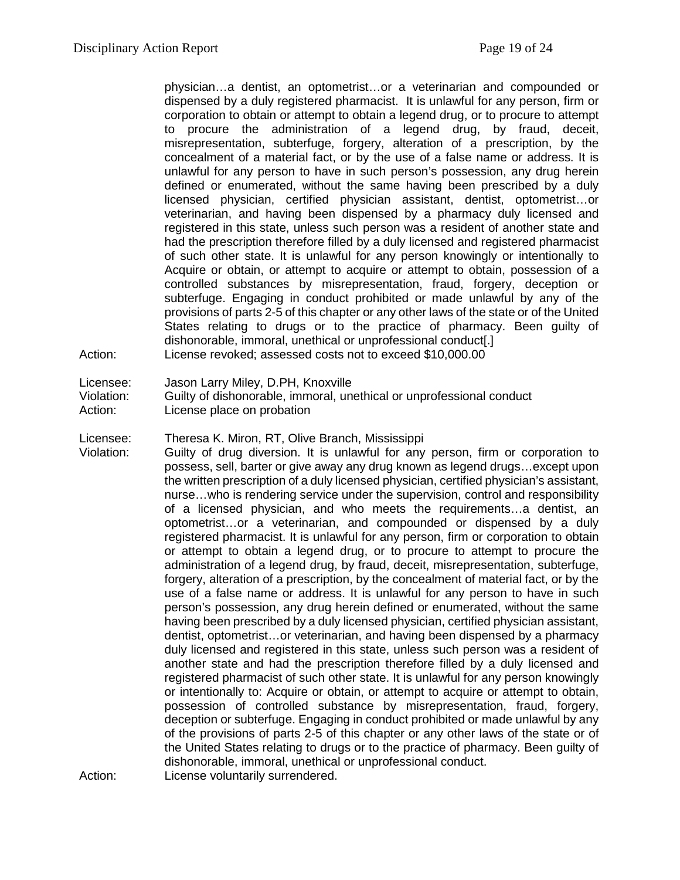physician…a dentist, an optometrist…or a veterinarian and compounded or dispensed by a duly registered pharmacist. It is unlawful for any person, firm or corporation to obtain or attempt to obtain a legend drug, or to procure to attempt to procure the administration of a legend drug, by fraud, deceit, misrepresentation, subterfuge, forgery, alteration of a prescription, by the concealment of a material fact, or by the use of a false name or address. It is unlawful for any person to have in such person's possession, any drug herein defined or enumerated, without the same having been prescribed by a duly licensed physician, certified physician assistant, dentist, optometrist…or veterinarian, and having been dispensed by a pharmacy duly licensed and registered in this state, unless such person was a resident of another state and had the prescription therefore filled by a duly licensed and registered pharmacist of such other state. It is unlawful for any person knowingly or intentionally to Acquire or obtain, or attempt to acquire or attempt to obtain, possession of a controlled substances by misrepresentation, fraud, forgery, deception or subterfuge. Engaging in conduct prohibited or made unlawful by any of the provisions of parts 2-5 of this chapter or any other laws of the state or of the United States relating to drugs or to the practice of pharmacy. Been guilty of dishonorable, immoral, unethical or unprofessional conduct[.] Action: License revoked; assessed costs not to exceed \$10,000.00

- Licensee: Jason Larry Miley, D.PH, Knoxville
- Violation: Guilty of dishonorable, immoral, unethical or unprofessional conduct
- Action: License place on probation
- Licensee: Theresa K. Miron, RT, Olive Branch, Mississippi

Violation: Guilty of drug diversion. It is unlawful for any person, firm or corporation to possess, sell, barter or give away any drug known as legend drugs…except upon the written prescription of a duly licensed physician, certified physician's assistant, nurse…who is rendering service under the supervision, control and responsibility of a licensed physician, and who meets the requirements…a dentist, an optometrist…or a veterinarian, and compounded or dispensed by a duly registered pharmacist. It is unlawful for any person, firm or corporation to obtain or attempt to obtain a legend drug, or to procure to attempt to procure the administration of a legend drug, by fraud, deceit, misrepresentation, subterfuge, forgery, alteration of a prescription, by the concealment of material fact, or by the use of a false name or address. It is unlawful for any person to have in such person's possession, any drug herein defined or enumerated, without the same having been prescribed by a duly licensed physician, certified physician assistant, dentist, optometrist…or veterinarian, and having been dispensed by a pharmacy duly licensed and registered in this state, unless such person was a resident of another state and had the prescription therefore filled by a duly licensed and registered pharmacist of such other state. It is unlawful for any person knowingly or intentionally to: Acquire or obtain, or attempt to acquire or attempt to obtain, possession of controlled substance by misrepresentation, fraud, forgery, deception or subterfuge. Engaging in conduct prohibited or made unlawful by any of the provisions of parts 2-5 of this chapter or any other laws of the state or of the United States relating to drugs or to the practice of pharmacy. Been guilty of dishonorable, immoral, unethical or unprofessional conduct.

Action: License voluntarily surrendered.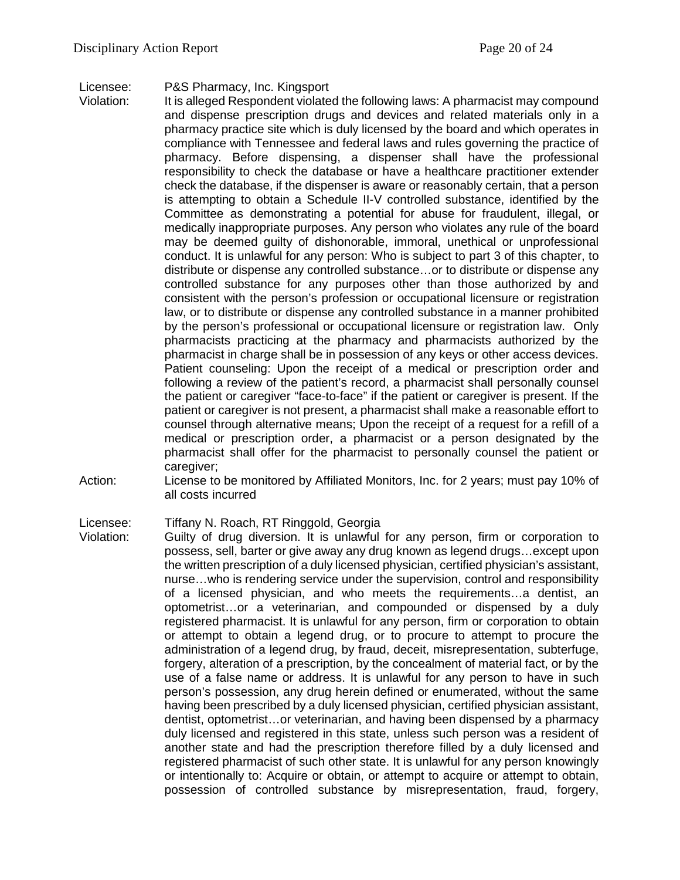#### Licensee: P&S Pharmacy, Inc. Kingsport

- Violation: It is alleged Respondent violated the following laws: A pharmacist may compound and dispense prescription drugs and devices and related materials only in a pharmacy practice site which is duly licensed by the board and which operates in compliance with Tennessee and federal laws and rules governing the practice of pharmacy. Before dispensing, a dispenser shall have the professional responsibility to check the database or have a healthcare practitioner extender check the database, if the dispenser is aware or reasonably certain, that a person is attempting to obtain a Schedule II-V controlled substance, identified by the Committee as demonstrating a potential for abuse for fraudulent, illegal, or medically inappropriate purposes. Any person who violates any rule of the board may be deemed guilty of dishonorable, immoral, unethical or unprofessional conduct. It is unlawful for any person: Who is subject to part 3 of this chapter, to distribute or dispense any controlled substance…or to distribute or dispense any controlled substance for any purposes other than those authorized by and consistent with the person's profession or occupational licensure or registration law, or to distribute or dispense any controlled substance in a manner prohibited by the person's professional or occupational licensure or registration law. Only pharmacists practicing at the pharmacy and pharmacists authorized by the pharmacist in charge shall be in possession of any keys or other access devices. Patient counseling: Upon the receipt of a medical or prescription order and following a review of the patient's record, a pharmacist shall personally counsel the patient or caregiver "face-to-face" if the patient or caregiver is present. If the patient or caregiver is not present, a pharmacist shall make a reasonable effort to counsel through alternative means; Upon the receipt of a request for a refill of a medical or prescription order, a pharmacist or a person designated by the pharmacist shall offer for the pharmacist to personally counsel the patient or caregiver;
- Action: License to be monitored by Affiliated Monitors, Inc. for 2 years; must pay 10% of all costs incurred

#### Licensee: Tiffany N. Roach, RT Ringgold, Georgia

Violation: Guilty of drug diversion. It is unlawful for any person, firm or corporation to possess, sell, barter or give away any drug known as legend drugs…except upon the written prescription of a duly licensed physician, certified physician's assistant, nurse…who is rendering service under the supervision, control and responsibility of a licensed physician, and who meets the requirements…a dentist, an optometrist…or a veterinarian, and compounded or dispensed by a duly registered pharmacist. It is unlawful for any person, firm or corporation to obtain or attempt to obtain a legend drug, or to procure to attempt to procure the administration of a legend drug, by fraud, deceit, misrepresentation, subterfuge, forgery, alteration of a prescription, by the concealment of material fact, or by the use of a false name or address. It is unlawful for any person to have in such person's possession, any drug herein defined or enumerated, without the same having been prescribed by a duly licensed physician, certified physician assistant, dentist, optometrist…or veterinarian, and having been dispensed by a pharmacy duly licensed and registered in this state, unless such person was a resident of another state and had the prescription therefore filled by a duly licensed and registered pharmacist of such other state. It is unlawful for any person knowingly or intentionally to: Acquire or obtain, or attempt to acquire or attempt to obtain, possession of controlled substance by misrepresentation, fraud, forgery,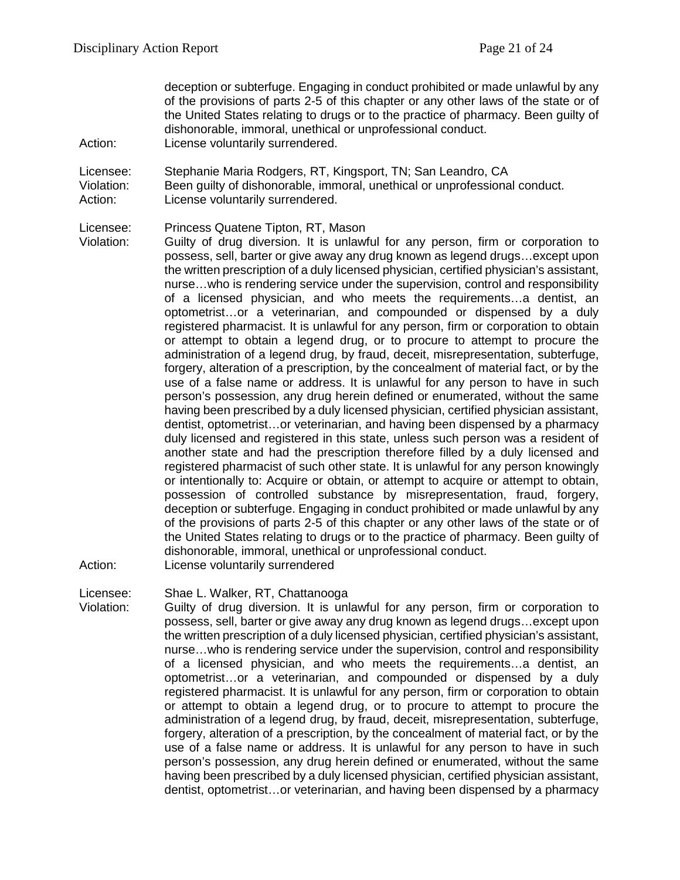deception or subterfuge. Engaging in conduct prohibited or made unlawful by any of the provisions of parts 2-5 of this chapter or any other laws of the state or of the United States relating to drugs or to the practice of pharmacy. Been guilty of dishonorable, immoral, unethical or unprofessional conduct. Action: License voluntarily surrendered.

- 
- Licensee: Stephanie Maria Rodgers, RT, Kingsport, TN; San Leandro, CA
- Violation: Been guilty of dishonorable, immoral, unethical or unprofessional conduct.
- Action: License voluntarily surrendered.

Licensee: Princess Quatene Tipton, RT, Mason

Violation: Guilty of drug diversion. It is unlawful for any person, firm or corporation to possess, sell, barter or give away any drug known as legend drugs…except upon the written prescription of a duly licensed physician, certified physician's assistant, nurse…who is rendering service under the supervision, control and responsibility of a licensed physician, and who meets the requirements…a dentist, an optometrist…or a veterinarian, and compounded or dispensed by a duly registered pharmacist. It is unlawful for any person, firm or corporation to obtain or attempt to obtain a legend drug, or to procure to attempt to procure the administration of a legend drug, by fraud, deceit, misrepresentation, subterfuge, forgery, alteration of a prescription, by the concealment of material fact, or by the use of a false name or address. It is unlawful for any person to have in such person's possession, any drug herein defined or enumerated, without the same having been prescribed by a duly licensed physician, certified physician assistant, dentist, optometrist…or veterinarian, and having been dispensed by a pharmacy duly licensed and registered in this state, unless such person was a resident of another state and had the prescription therefore filled by a duly licensed and registered pharmacist of such other state. It is unlawful for any person knowingly or intentionally to: Acquire or obtain, or attempt to acquire or attempt to obtain, possession of controlled substance by misrepresentation, fraud, forgery, deception or subterfuge. Engaging in conduct prohibited or made unlawful by any of the provisions of parts 2-5 of this chapter or any other laws of the state or of the United States relating to drugs or to the practice of pharmacy. Been guilty of dishonorable, immoral, unethical or unprofessional conduct.

Action: License voluntarily surrendered

Licensee: Shae L. Walker, RT, Chattanooga

Violation: Guilty of drug diversion. It is unlawful for any person, firm or corporation to possess, sell, barter or give away any drug known as legend drugs…except upon the written prescription of a duly licensed physician, certified physician's assistant, nurse…who is rendering service under the supervision, control and responsibility of a licensed physician, and who meets the requirements…a dentist, an optometrist…or a veterinarian, and compounded or dispensed by a duly registered pharmacist. It is unlawful for any person, firm or corporation to obtain or attempt to obtain a legend drug, or to procure to attempt to procure the administration of a legend drug, by fraud, deceit, misrepresentation, subterfuge, forgery, alteration of a prescription, by the concealment of material fact, or by the use of a false name or address. It is unlawful for any person to have in such person's possession, any drug herein defined or enumerated, without the same having been prescribed by a duly licensed physician, certified physician assistant, dentist, optometrist…or veterinarian, and having been dispensed by a pharmacy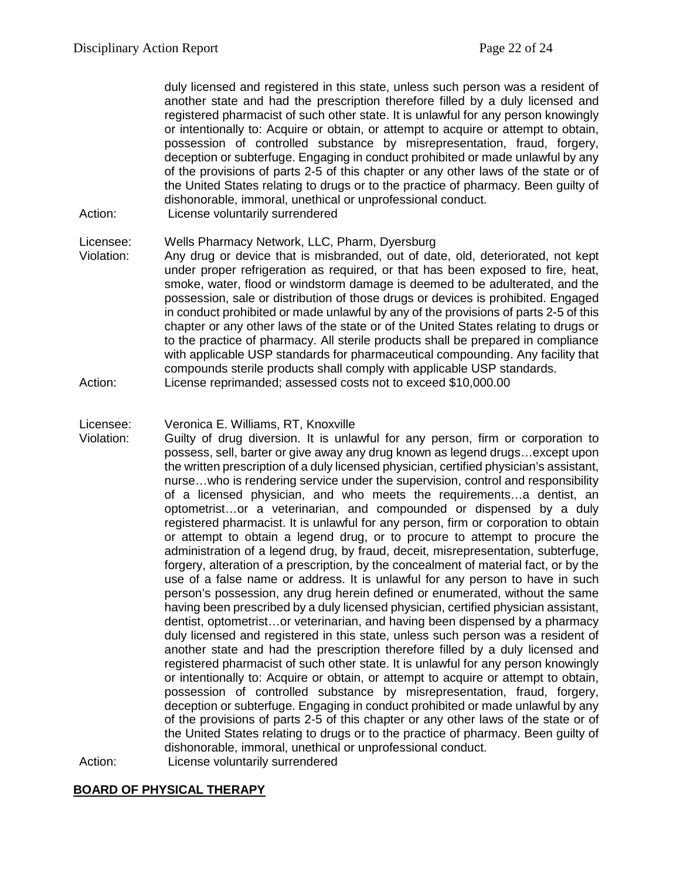duly licensed and registered in this state, unless such person was a resident of another state and had the prescription therefore filled by a duly licensed and registered pharmacist of such other state. It is unlawful for any person knowingly or intentionally to: Acquire or obtain, or attempt to acquire or attempt to obtain, possession of controlled substance by misrepresentation, fraud, forgery, deception or subterfuge. Engaging in conduct prohibited or made unlawful by any of the provisions of parts 2-5 of this chapter or any other laws of the state or of the United States relating to drugs or to the practice of pharmacy. Been guilty of dishonorable, immoral, unethical or unprofessional conduct.

Action: License voluntarily surrendered

#### Licensee: Wells Pharmacy Network, LLC, Pharm, Dyersburg

Violation: Any drug or device that is misbranded, out of date, old, deteriorated, not kept under proper refrigeration as required, or that has been exposed to fire, heat, smoke, water, flood or windstorm damage is deemed to be adulterated, and the possession, sale or distribution of those drugs or devices is prohibited. Engaged in conduct prohibited or made unlawful by any of the provisions of parts 2-5 of this chapter or any other laws of the state or of the United States relating to drugs or to the practice of pharmacy. All sterile products shall be prepared in compliance with applicable USP standards for pharmaceutical compounding. Any facility that compounds sterile products shall comply with applicable USP standards. Action: License reprimanded; assessed costs not to exceed \$10,000.00

#### Licensee: Veronica E. Williams, RT, Knoxville

Violation: Guilty of drug diversion. It is unlawful for any person, firm or corporation to possess, sell, barter or give away any drug known as legend drugs…except upon the written prescription of a duly licensed physician, certified physician's assistant, nurse…who is rendering service under the supervision, control and responsibility of a licensed physician, and who meets the requirements…a dentist, an optometrist…or a veterinarian, and compounded or dispensed by a duly registered pharmacist. It is unlawful for any person, firm or corporation to obtain or attempt to obtain a legend drug, or to procure to attempt to procure the administration of a legend drug, by fraud, deceit, misrepresentation, subterfuge, forgery, alteration of a prescription, by the concealment of material fact, or by the use of a false name or address. It is unlawful for any person to have in such person's possession, any drug herein defined or enumerated, without the same having been prescribed by a duly licensed physician, certified physician assistant, dentist, optometrist…or veterinarian, and having been dispensed by a pharmacy duly licensed and registered in this state, unless such person was a resident of another state and had the prescription therefore filled by a duly licensed and registered pharmacist of such other state. It is unlawful for any person knowingly or intentionally to: Acquire or obtain, or attempt to acquire or attempt to obtain, possession of controlled substance by misrepresentation, fraud, forgery, deception or subterfuge. Engaging in conduct prohibited or made unlawful by any of the provisions of parts 2-5 of this chapter or any other laws of the state or of the United States relating to drugs or to the practice of pharmacy. Been guilty of dishonorable, immoral, unethical or unprofessional conduct.

Action: License voluntarily surrendered

#### **BOARD OF PHYSICAL THERAPY**